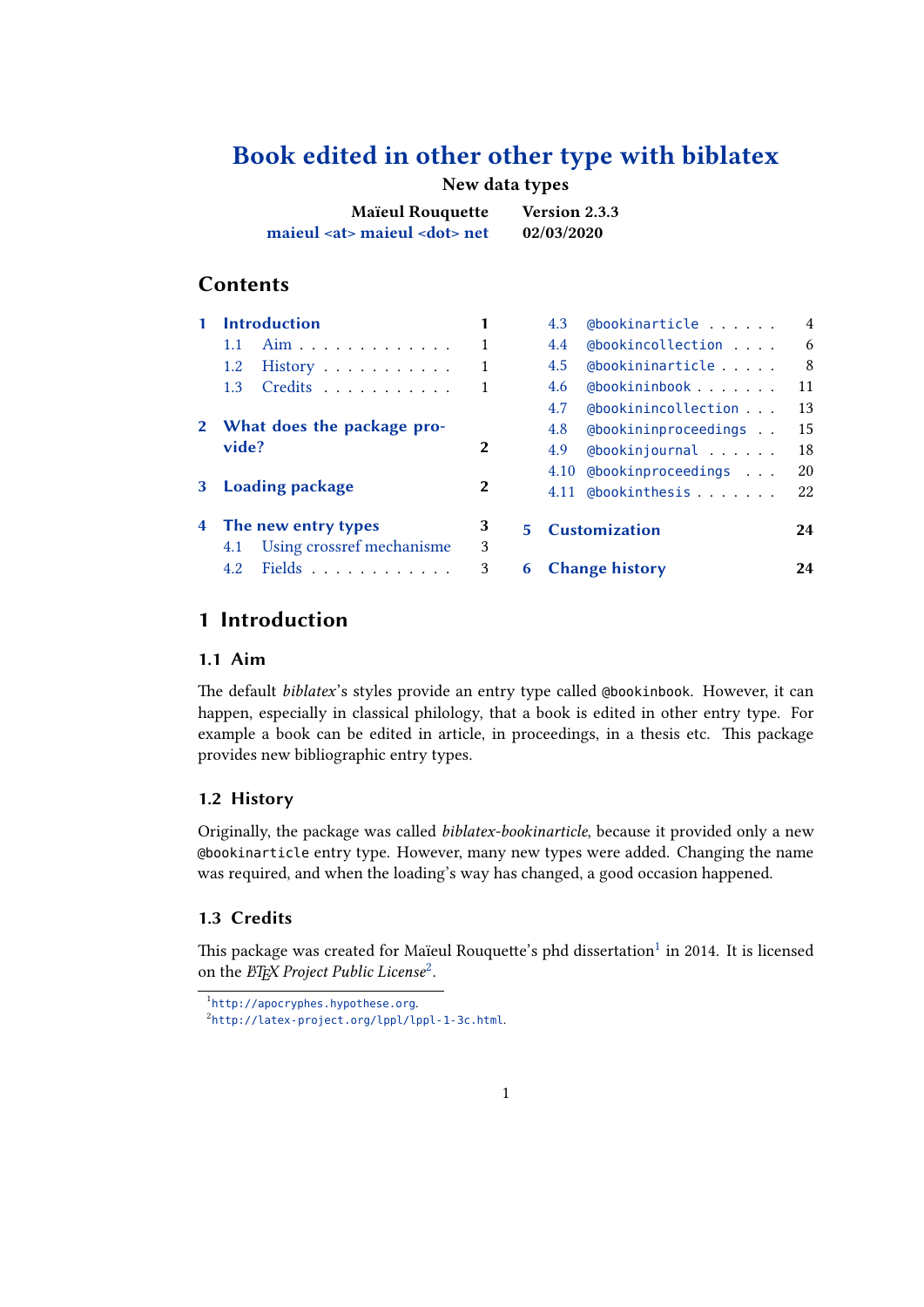# **Book edited in other other type with biblatex**

## **New data types**

| <b>Maïeul Rouquette</b>                 | Version 2.3.3 |
|-----------------------------------------|---------------|
| maieul <at> maieul <dot> net</dot></at> | 02/03/2020    |

## **Contents**

|  | <b>Introduction</b>                               |              | @bookinarticle<br>4.3       | $\overline{4}$ |
|--|---------------------------------------------------|--------------|-----------------------------|----------------|
|  | Aim<br>1.1                                        |              | @bookincollection<br>4.4    | 6              |
|  | 1.2<br>$History \dots \dots \dots$                |              | @bookininarticle<br>4.5     | 8              |
|  | Credits<br>1.3 <sup>2</sup>                       |              | @bookininbook<br>4.6        | 11             |
|  |                                                   |              | (abookinincollection<br>4.7 | 13             |
|  | 2 What does the package pro-                      |              | @bookininproceedings<br>4.8 | 15             |
|  | vide?                                             | 2            | @bookinjournal<br>4.9       | 18             |
|  |                                                   |              | 4.10 @bookinproceedings     | 20             |
|  | 3 Loading package                                 | $\mathbf{2}$ | @bookinthesis<br>4.11       | 22             |
|  | 4 The new entry types                             | 3            | 5 Customization             | 24             |
|  | 4.1 Using crossref mechanisme                     | 3            |                             |                |
|  | Fields $\ldots$ $\ldots$ $\ldots$ $\ldots$<br>4.2 | 3            | <b>6</b> Change history     | 24             |

## **[1 Introduction](#page-2-0)**

## **1.1 [Aim](#page-2-0)**

The default *biblatex*'s styles provide an entry type called @bookinbook. However, it can happen, especially in classical philology, that a book is edited in other entry type. For example a book can be edited in article, in proceedings, in a thesis etc. This package provides new bibliographic entry types.

### **1.2 History**

Originally, the package was called *biblatex-bookinarticle*, because it provided only a new @bookinarticle entry type. However, many new types were added. Changing the name was required, and when the loading's way has changed, a good occasion happened.

## **1.3 Credits**

This package was created for Maïeul Rouquette's phd dissertation $^1$  in 2014. It is licensed on the *EIEX Project Public License<sup>2</sup>*.

<sup>1</sup> http://apocryphes.hypothese.org.

 $^{2}$ http://latex-project.org/lppl/lppl-1-3c.html.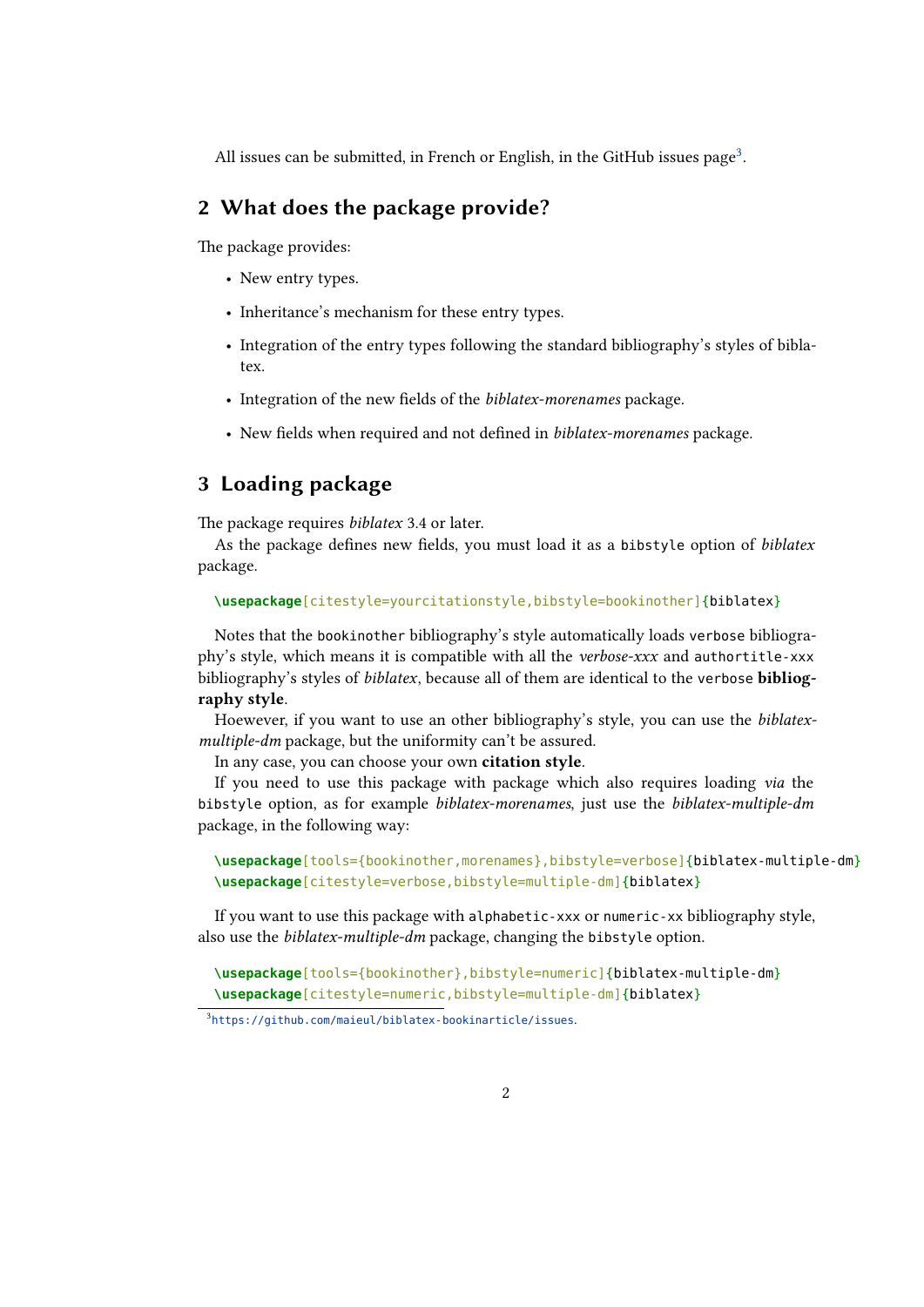<span id="page-1-0"></span>All issues can be submitted, in French or English, in the GitHub issues page<sup>3</sup>.

# **2 What does the package provide?**

The package provides:

- New entry types.
- Inheritance's mechanism for these entry types.
- Integration of the entry types following the standard bibliography's styles of biblatex.
- Integration of the new fields of the *biblatex-morenames* package.
- New fields when required and not defined in *biblatex-morenames* package.

# **3 Loading package**

The package requires *biblatex* 3.4 or later.

As the package defines new fields, you must load it as a bibstyle option of *biblatex* package.

**\usepackage**[citestyle=yourcitationstyle,bibstyle=bookinother]{biblatex}

Notes that the bookinother bibliography's style automatically loads verbose bibliography's style, which means it is compatible with all the *verbose-xxx* and authortitle-xxx bibliography's styles of *biblatex*, because all of them are identical to the verbose **bibliography style**.

Hoewever, if you want to use an other bibliography's style, you can use the *biblatexmultiple-dm* package, but the uniformity can't be assured.

In any case, you can choose your own **citation style**.

If you need to use this package with package which also requires loading *via* the bibstyle option, as for example *biblatex-morenames*, just use the *biblatex-multiple-dm* package, in the following way:

```
\usepackage[tools={bookinother,morenames},bibstyle=verbose]{biblatex-multiple-dm}
\usepackage[citestyle=verbose,bibstyle=multiple-dm]{biblatex}
```
If you want to use this package with alphabetic-xxx or numeric-xx bibliography style, also use the *biblatex-multiple-dm* package, changing the bibstyle option.

**\usepackage**[tools={bookinother},bibstyle=numeric]{biblatex-multiple-dm} **\usepackage**[citestyle=numeric,bibstyle=multiple-dm]{biblatex}

3 https://github.com/maieul/biblatex-bookinarticle/issues.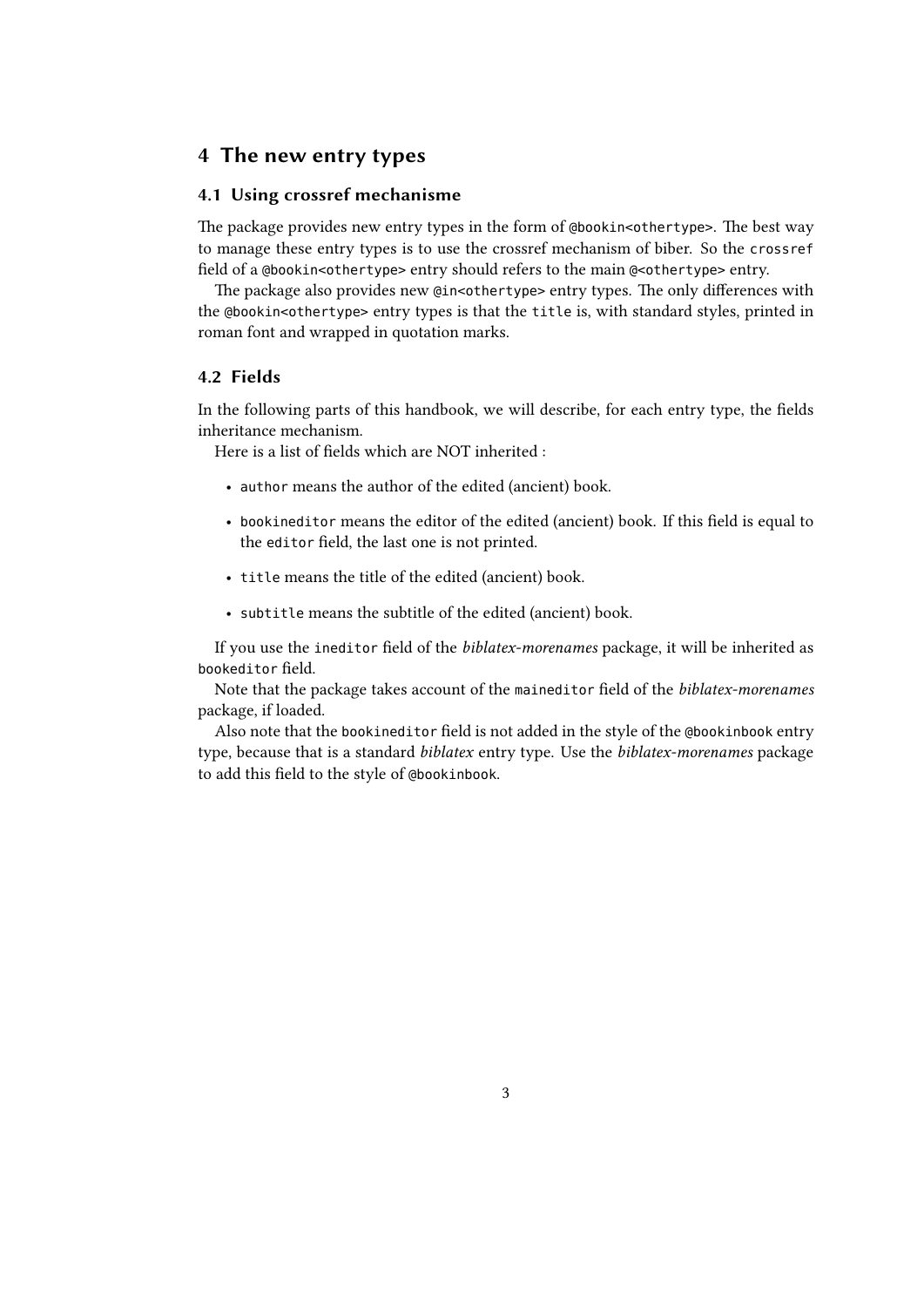## <span id="page-2-0"></span>**4 The new entry types**

## **4.1 Using crossref mechanisme**

The package provides new entry types in the form of @bookin<othertype>. The best way to manage these entry types is to use the crossref mechanism of biber. So the crossref field of a @bookin<othertype> entry should refers to the main @<othertype> entry.

The package also provides new @in<othertype> entry types. The only differences with the @bookin<othertype> entry types is that the title is, with standard styles, printed in roman font and wrapped in quotation marks.

## **4.2 Fields**

In the following parts of this handbook, we will describe, for each entry type, the fields inheritance mechanism.

Here is a list of fields which are NOT inherited :

- author means the author of the edited (ancient) book.
- bookineditor means the editor of the edited (ancient) book. If this field is equal to the editor field, the last one is not printed.
- title means the title of the edited (ancient) book.
- subtitle means the subtitle of the edited (ancient) book.

If you use the ineditor field of the *biblatex-morenames* package, it will be inherited as bookeditor field.

Note that the package takes account of the maineditor field of the *biblatex-morenames* package, if loaded.

Also note that the bookineditor field is not added in the style of the @bookinbook entry type, because that is a standard *biblatex* entry type. Use the *biblatex-morenames* package to add this field to the style of @bookinbook.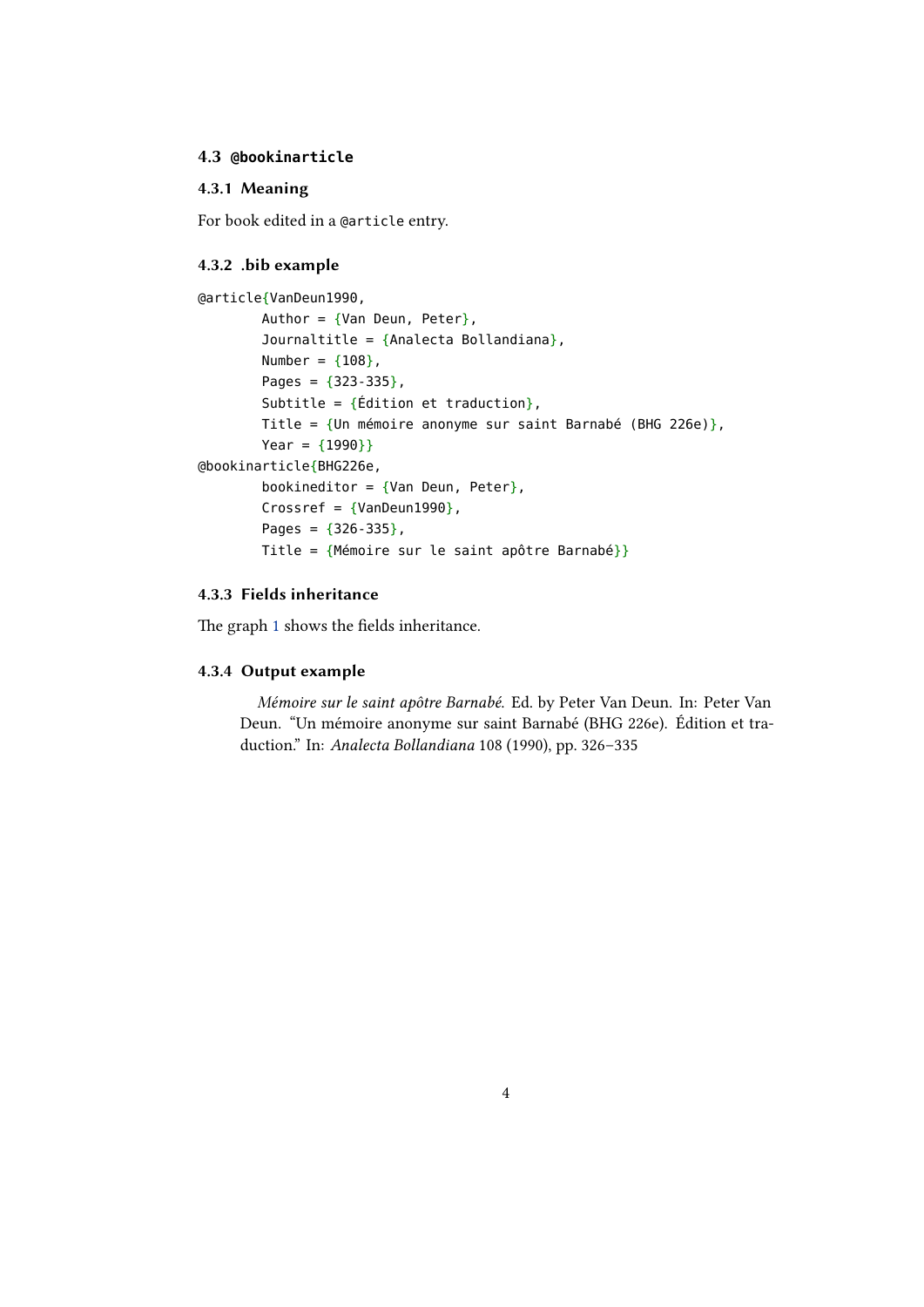## <span id="page-3-0"></span>**4.3 @bookinarticle**

## **4.3.1 Meaning**

For book edited in a @article entry.

#### **4.3.2 .bib example**

```
@article{VanDeun1990,
        Author = \{Van\ Deun, Peter\},
        Journaltitle = {Analecta Bollandiana},
        Number = {108},
        Pages = {323-335},
        Subtitle = \{\text{Édition et traduction}\}\,,
        Title = {Un mémoire anonyme sur saint Barnabé (BHG 226e)},
        Year = {1990}}
@bookinarticle{BHG226e,
        bookineditor = \{Van\ Deun, Peter\},
        Crossref = \{VanDeun1990\},
        Pages = {326-335},
        Title = {Mémoire sur le saint apôtre Barnabé}}
```
## **4.3.3 Fields inheritance**

The graph 1 shows the fields inheritance.

#### **4.3.4 Output example**

*M[ém](#page-4-0)oire sur le saint apôtre Barnabé*. Ed. by Peter Van Deun. In: Peter Van Deun. "Un mémoire anonyme sur saint Barnabé (BHG 226e). Édition et traduction." In: *Analecta Bollandiana* 108 (1990), pp. 326–335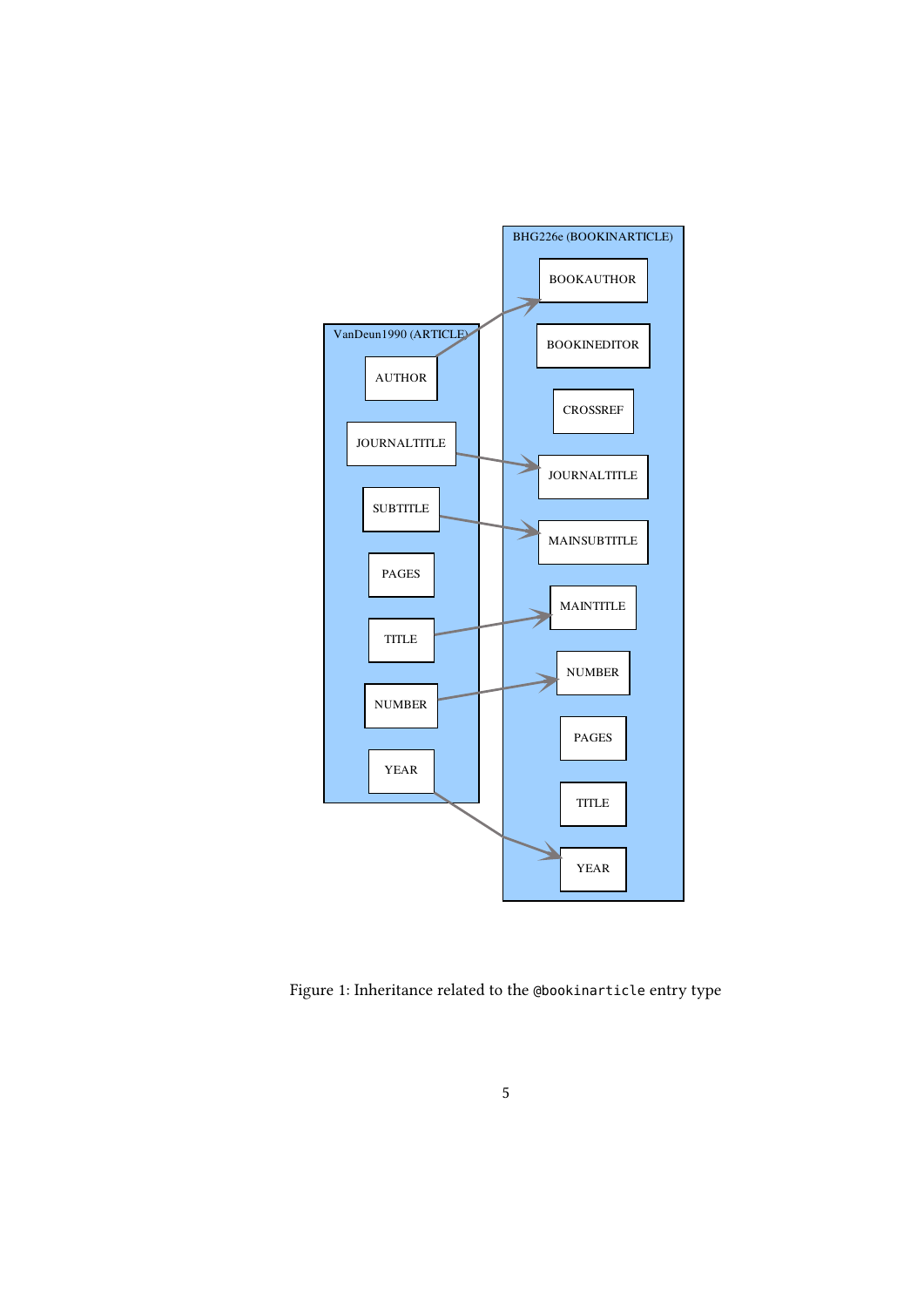<span id="page-4-0"></span>

Figure 1: Inheritance related to the @bookinarticle entry type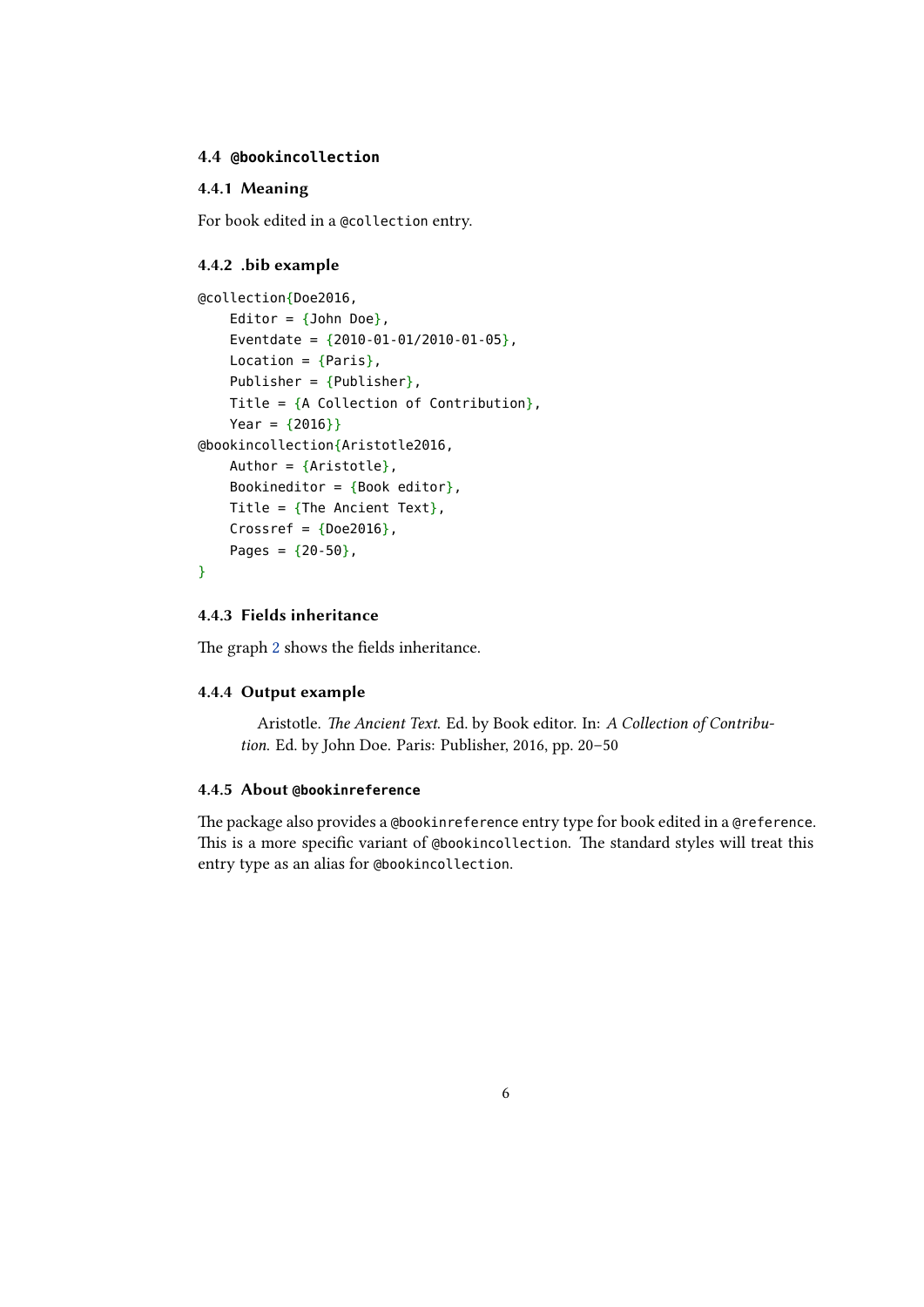#### <span id="page-5-0"></span>**4.4 @bookincollection**

## **4.4.1 Meaning**

For book edited in a @collection entry.

#### **4.4.2 .bib example**

```
@collection{Doe2016,
    Editor = \{John Doe\},
    Eventdate = {2010 - 01 - 01/2010 - 01 - 05},
    Location = {Paris},
    Publisher = {Pubic},
    Title = {A} Collection of Contribution},
    Year = {2016}}
@bookincollection{Aristotle2016,
    Author = {Aristotte},
    Bookineditor = { Book editor },
    Title = {The Ancient Text},
    Crossref = {Does}Pages = {20-50},
}
```
## **4.4.3 Fields inheritance**

The graph 2 shows the fields inheritance.

## **4.4.4 Output example**

A[ri](#page-6-0)stotle. *The Ancient Text*. Ed. by Book editor. In: *A Collection of Contribution*. Ed. by John Doe. Paris: Publisher, 2016, pp. 20–50

#### **4.4.5 About @bookinreference**

The package also provides a @bookinreference entry type for book edited in a @reference. This is a more specific variant of @bookincollection. The standard styles will treat this entry type as an alias for @bookincollection.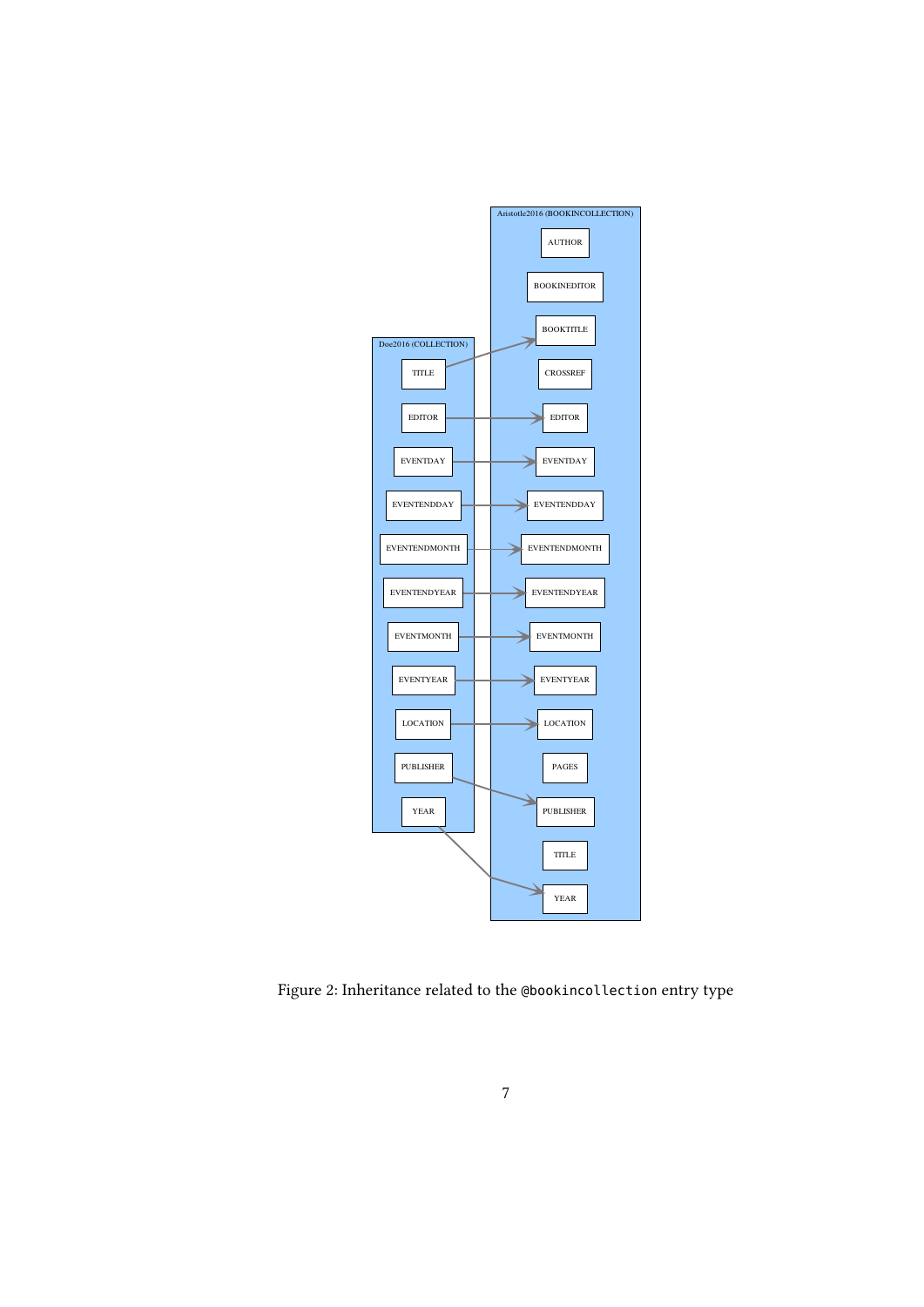<span id="page-6-0"></span>

Figure 2: Inheritance related to the @bookincollection entry type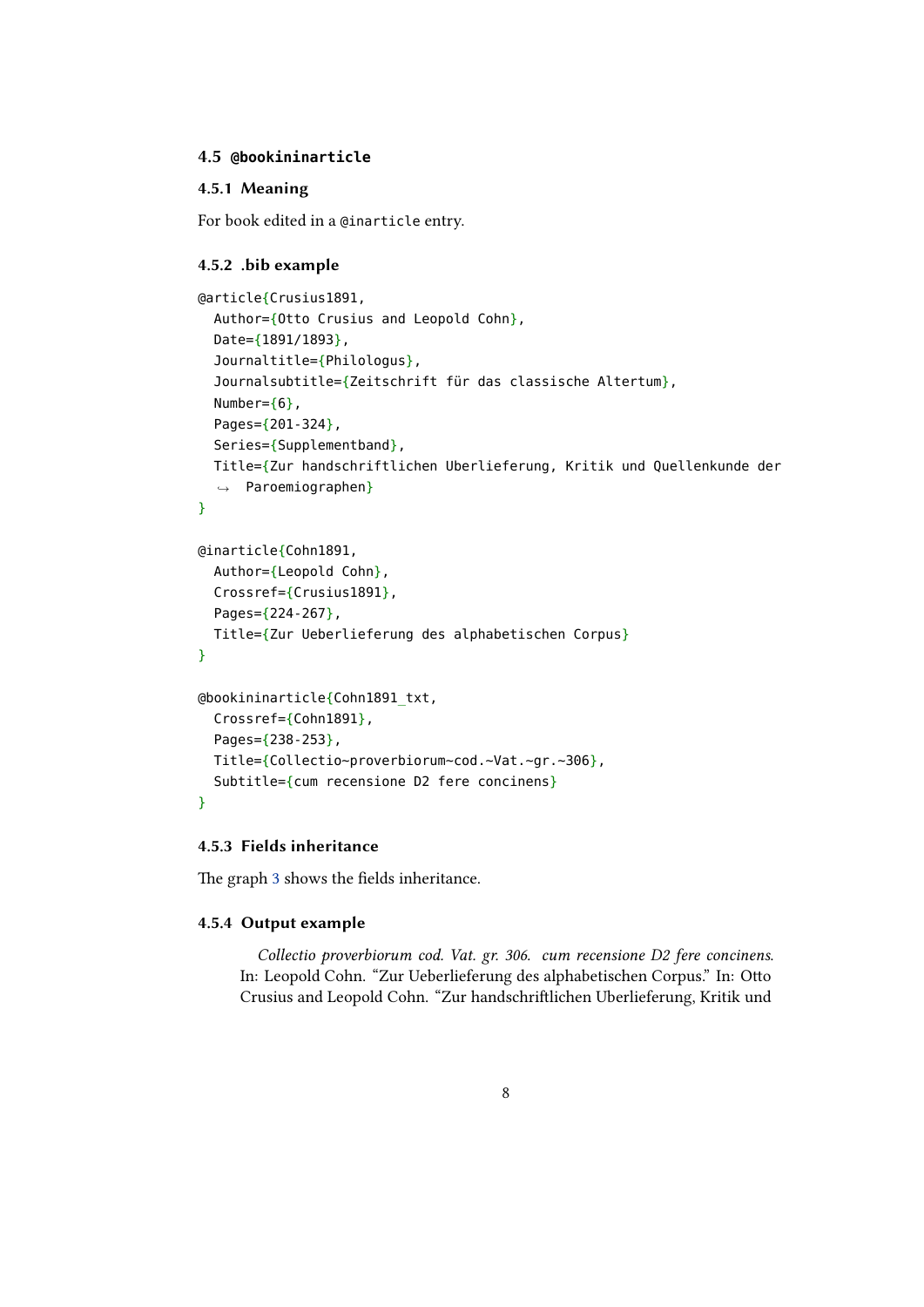## <span id="page-7-0"></span>**4.5 @bookininarticle**

## **4.5.1 Meaning**

For book edited in a @inarticle entry.

## **4.5.2 .bib example**

```
@article{Crusius1891,
  Author={Otto Crusius and Leopold Cohn},
  Date={1891/1893},
  Journaltitle={Philologus},
  Journalsubtitle={Zeitschrift für das classische Altertum},
  Number={6},
  Pages={201-324},
  Series={Supplementband},
  Title={Zur handschriftlichen Uberlieferung, Kritik und Quellenkunde der
  ,→ Paroemiographen}
}
@inarticle{Cohn1891,
  Author={Leopold Cohn},
  Crossref={Crusius1891},
  Pages={224-267},
  Title={Zur Ueberlieferung des alphabetischen Corpus}
}
@bookininarticle{Cohn1891_txt,
  Crossref={Cohn1891},
  Pages={238-253},
  Title={Collectio~proverbiorum~cod.~Vat.~gr.~306},
  Subtitle={cum recensione D2 fere concinens}
}
```
## **4.5.3 Fields inheritance**

The graph 3 shows the fields inheritance.

## **4.5.4 Output example**

*C[ol](#page-8-0)lectio proverbiorum cod. Vat. gr. 306. cum recensione D2 fere concinens*. In: Leopold Cohn. "Zur Ueberlieferung des alphabetischen Corpus." In: Otto Crusius and Leopold Cohn. "Zur handschriftlichen Uberlieferung, Kritik und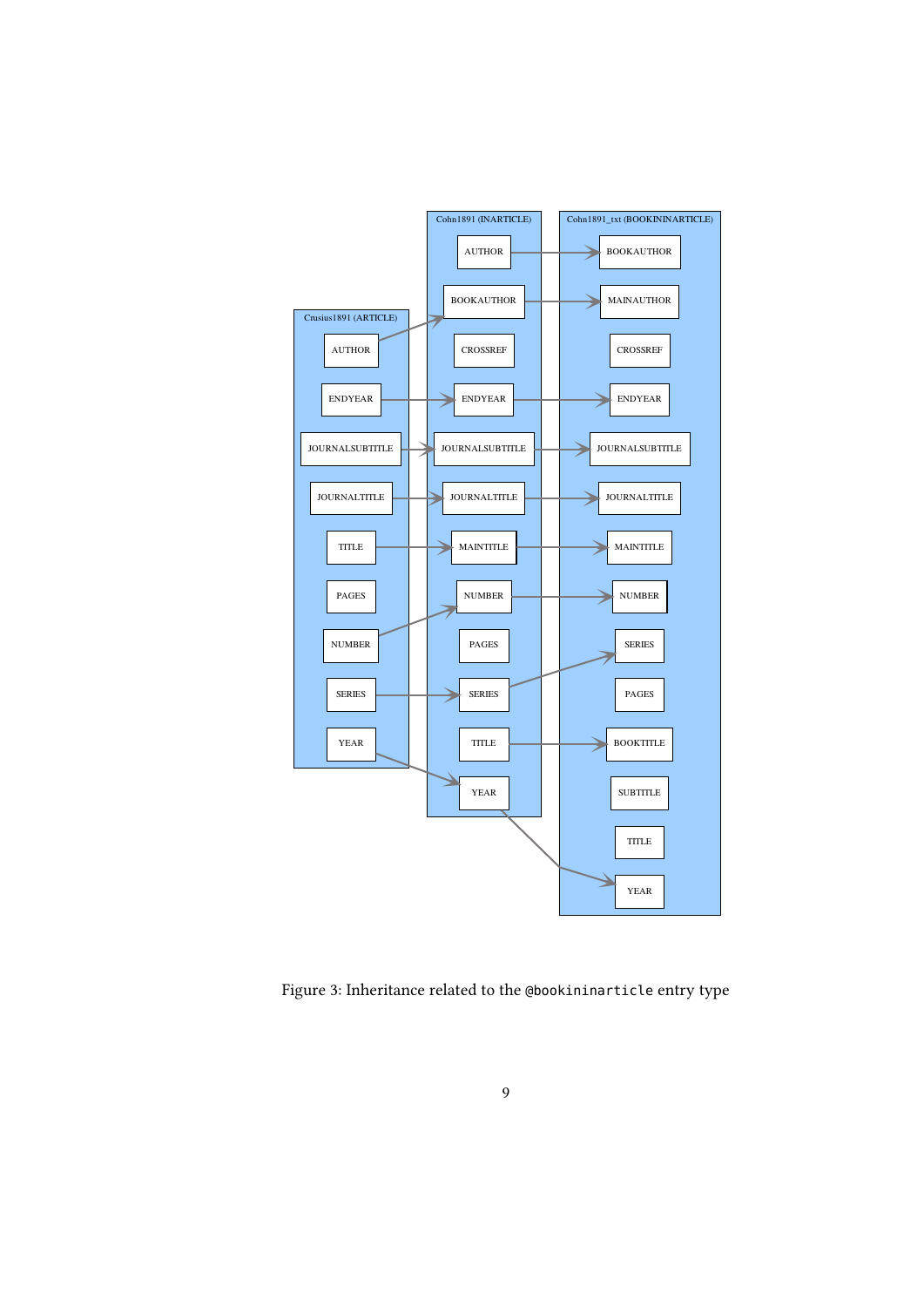<span id="page-8-0"></span>

Figure 3: Inheritance related to the @bookininarticle entry type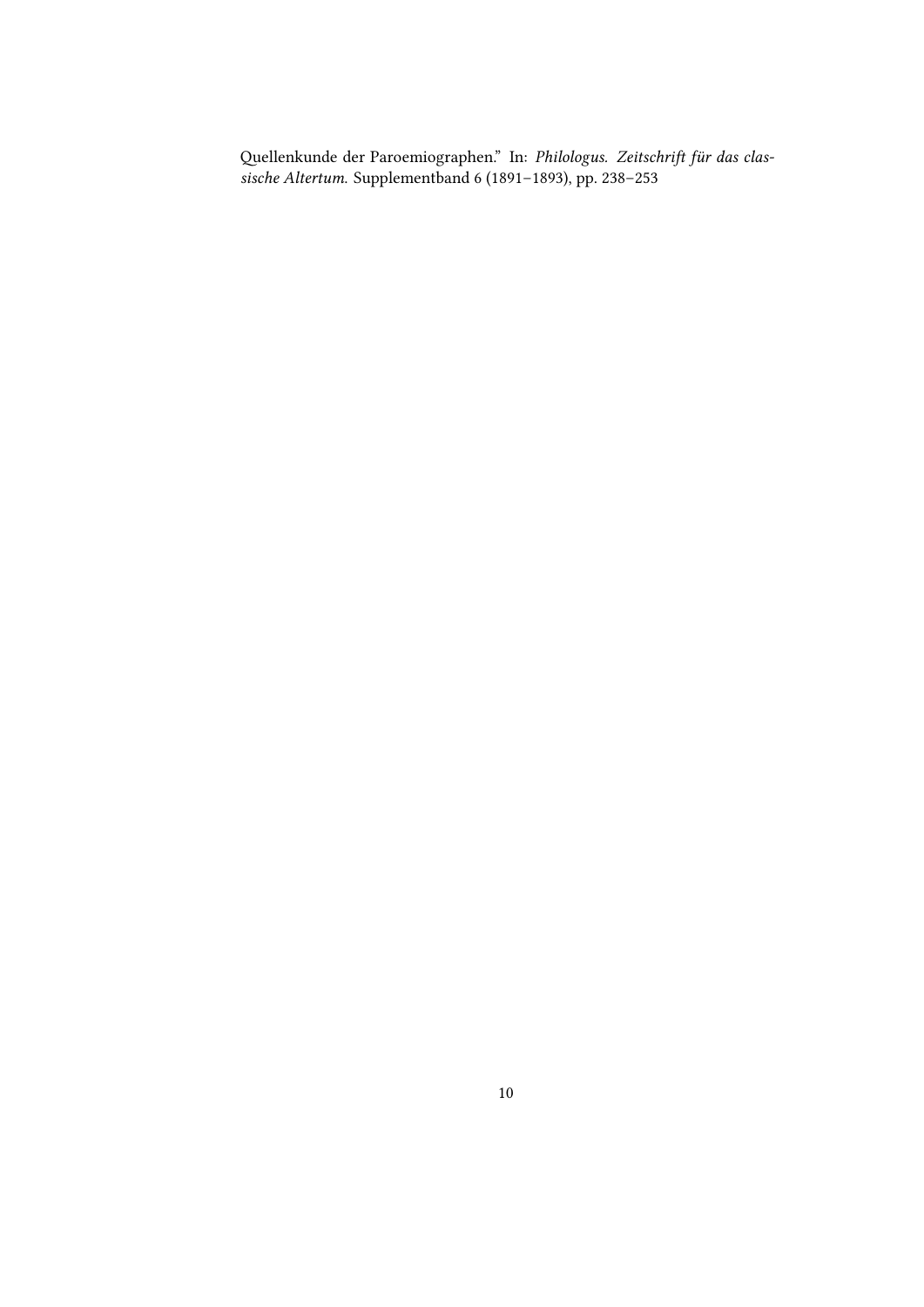Quellenkunde der Paroemiographen." In: *Philologus. Zeitschrift für das classische Altertum*. Supplementband 6 (1891–1893), pp. 238–253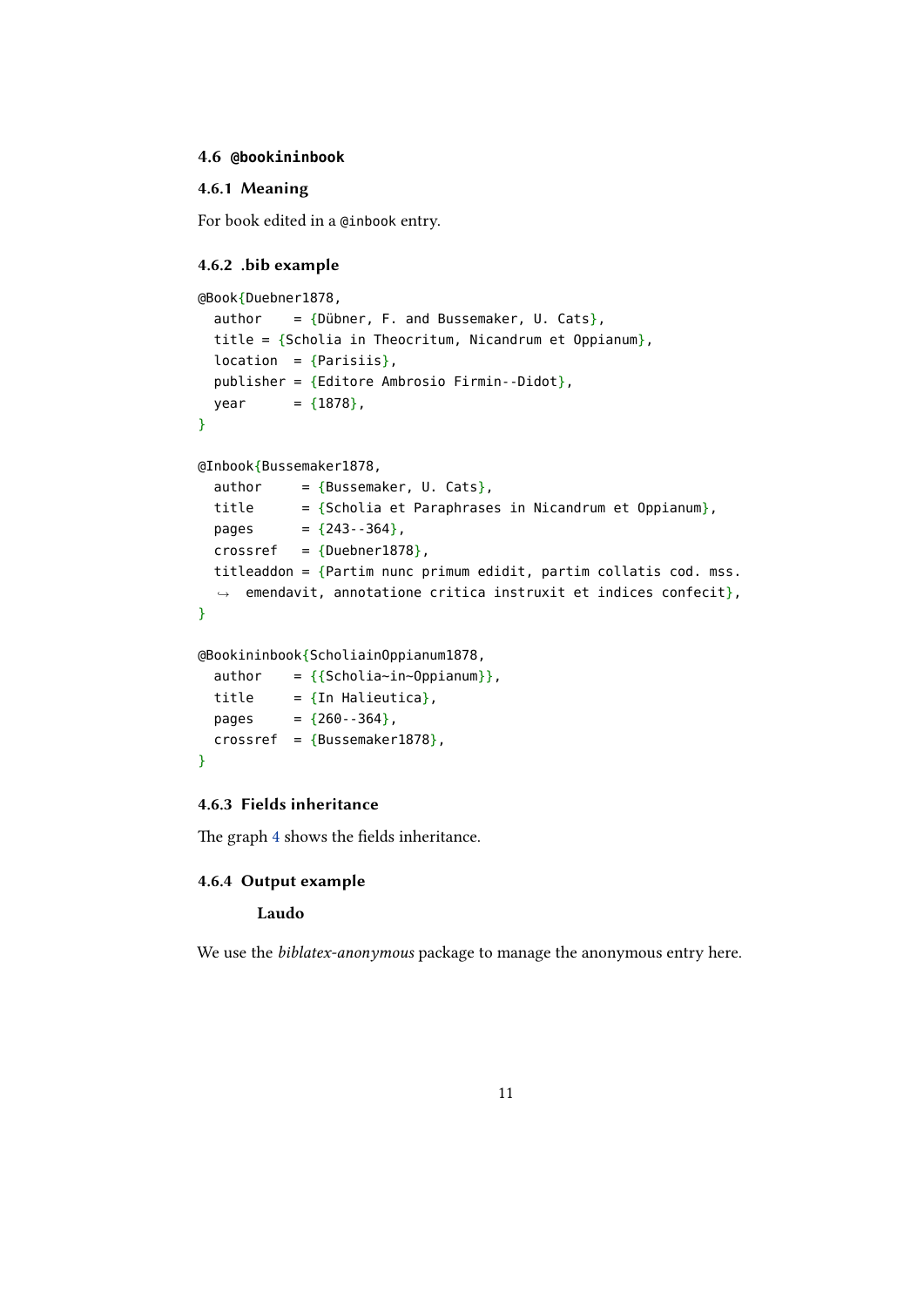#### <span id="page-10-0"></span>**4.6 @bookininbook**

## **4.6.1 Meaning**

For book edited in a @inbook entry.

#### **4.6.2 .bib example**

```
@Book{Duebner1878,
 author = \{Dübner, F. \text{ and Bussemaker, U. Cats}\},\title = {Scholia in Theocritum, Nicandrum et Oppianum},
 location = {Parisis},publisher = {Editore Ambrosio Firmin--Didot},
 year = {1878},}
@Inbook{Bussemaker1878,
 author = {Bussemaker, U. Cats},title = {Scholia et Paraphrases in Nicandrum et Oppianum},pages = {243 - 364},
 crossref = {Duebner1878},
 titleaddon = {Partim nunc primum edidit, partim collatis cod. mss.
  ,→ emendavit, annotatione critica instruxit et indices confecit},
}
@Bookininbook{ScholiainOppianum1878,
 author = {Scholia~in~Oppianum}},
```

```
title = \{ \text{In Halieutica} \},pages = {260 - 364},
 crossref = {Bussemaker1878},
}
```
## **4.6.3 Fields inheritance**

The graph 4 shows the fields inheritance.

## **4.6.4 Output example**

#### **L[au](#page-11-0)do**

We use the *biblatex-anonymous* package to manage the anonymous entry here.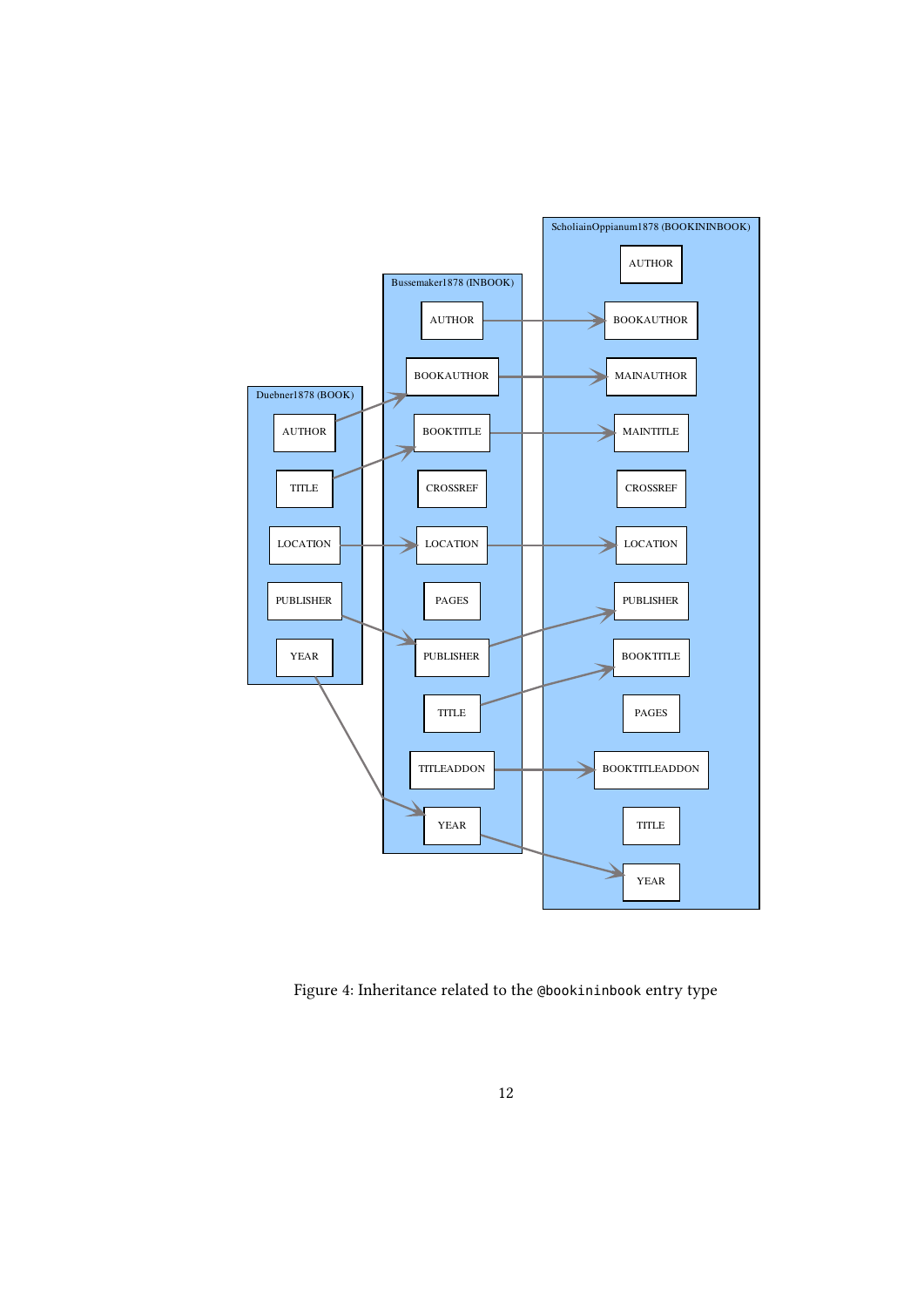<span id="page-11-0"></span>

Figure 4: Inheritance related to the @bookininbook entry type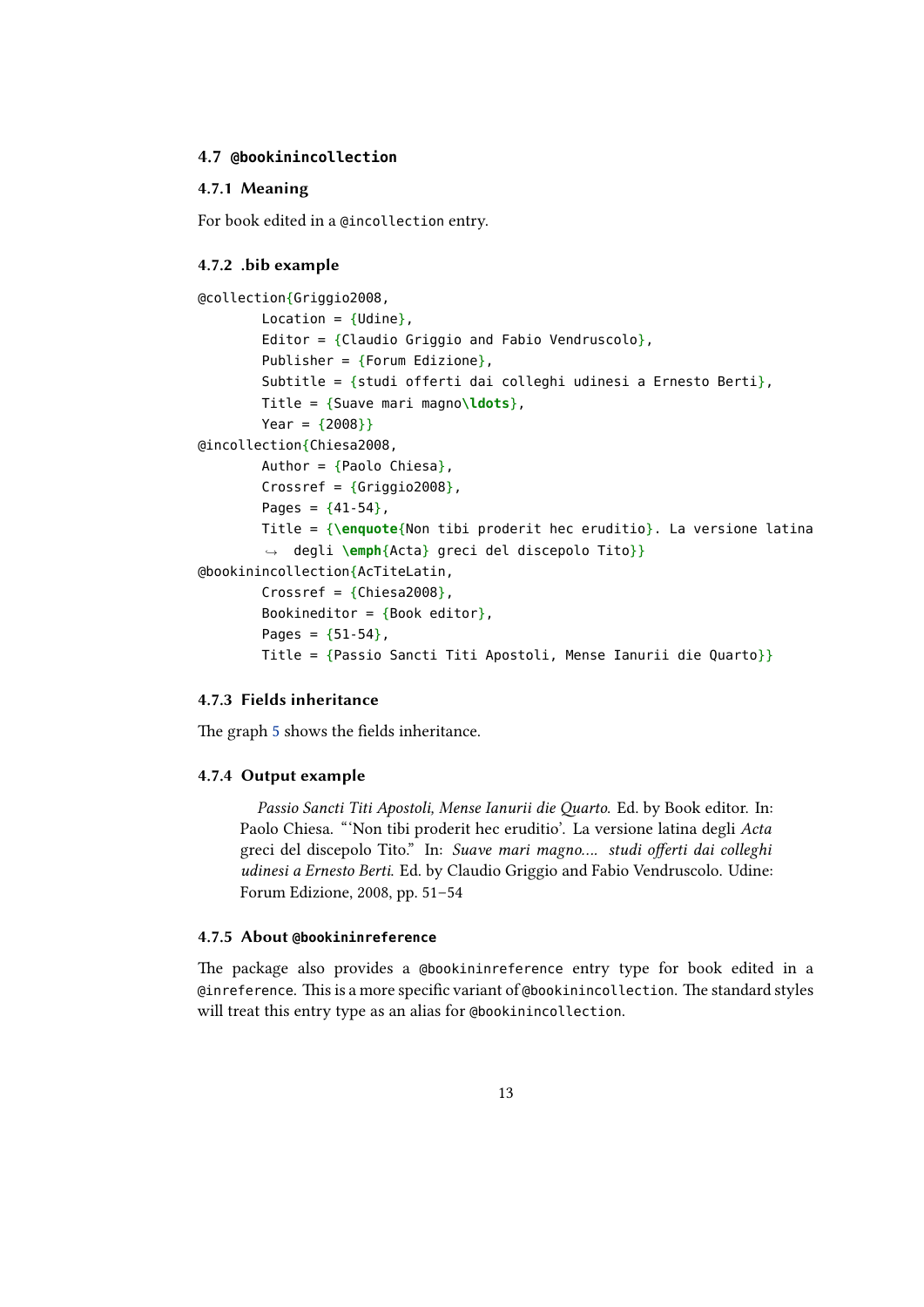### <span id="page-12-0"></span>**4.7 @bookinincollection**

## **4.7.1 Meaning**

For book edited in a @incollection entry.

#### **4.7.2 .bib example**

```
@collection{Griggio2008,
        Location = {Udine},
        Editor = {Claudio Griggio and Fabio Vendruscolo},Publisher = {Forum} Edizione},
        Subtitle = {studi offerti dai colleghi udinesi a Ernesto Berti},
        Title = {Suave mari magno\ldots},
        Year = {2008}}
@incollection{Chiesa2008,
        Author = {Paolo} Chiesa},
        Crossref = {Griggio2008},
        Pages = {41-54},
        Title = {\enquote{Non tibi proderit hec eruditio}. La versione latina
        ,→ degli \emph{Acta} greci del discepolo Tito}}
@bookinincollection{AcTiteLatin,
        Crossref = {Chiesa2008},
        Bookineditor = {Book editor},
        Pages = {51-54},
        Title = {Passio Sancti Titi Apostoli, Mense Ianurii die Quarto}}
```
#### **4.7.3 Fields inheritance**

The graph 5 shows the fields inheritance.

#### **4.7.4 Output example**

*P[as](#page-13-0)sio Sancti Titi Apostoli, Mense Ianurii die Quarto*. Ed. by Book editor. In: Paolo Chiesa. "'Non tibi proderit hec eruditio'. La versione latina degli *Acta* greci del discepolo Tito." In: *Suave mari magno…. studi offerti dai colleghi udinesi a Ernesto Berti*. Ed. by Claudio Griggio and Fabio Vendruscolo. Udine: Forum Edizione, 2008, pp. 51–54

#### **4.7.5 About @bookininreference**

The package also provides a @bookininreference entry type for book edited in a @inreference. This is a more specific variant of @bookinincollection. The standard styles will treat this entry type as an alias for @bookinincollection.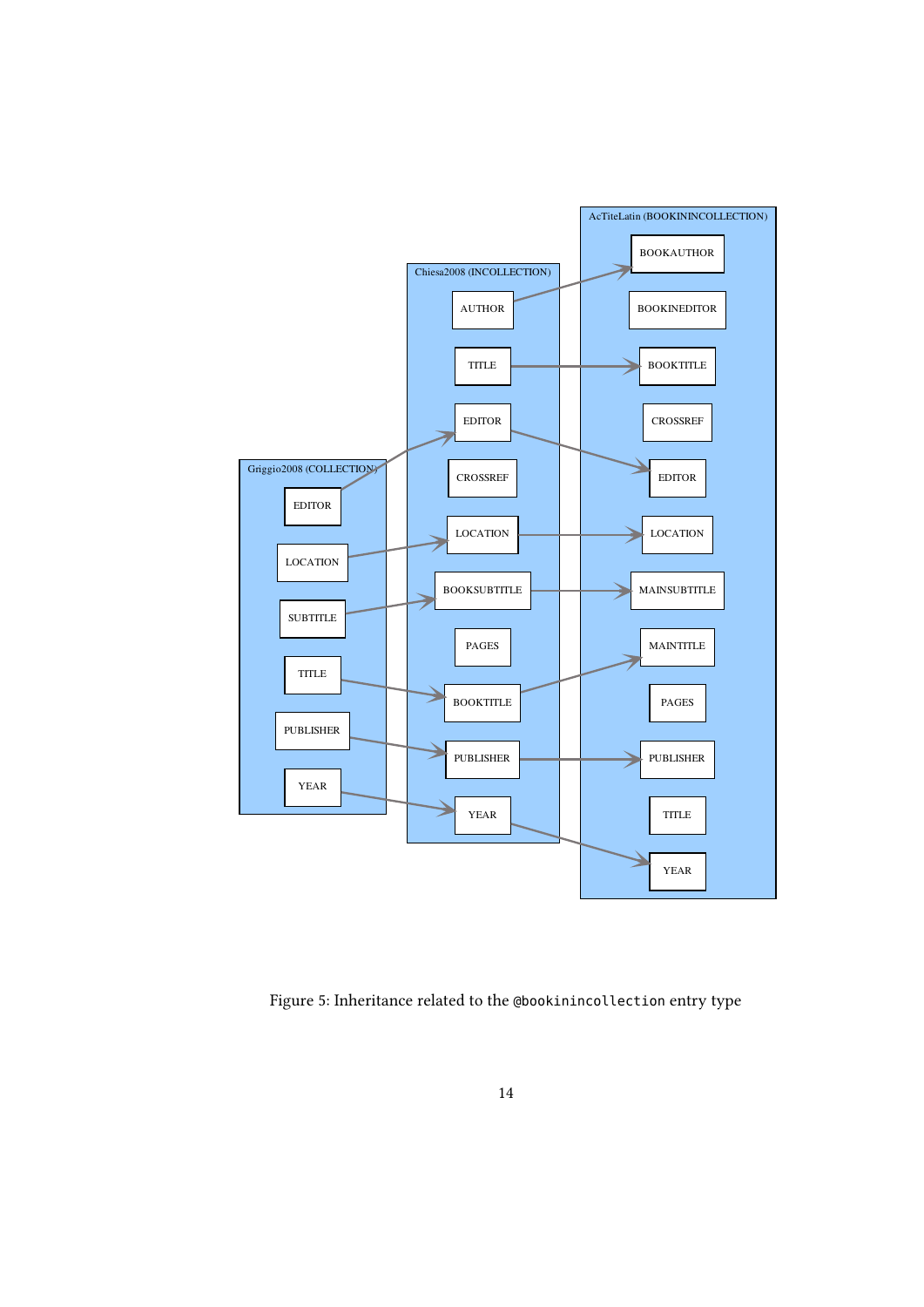<span id="page-13-0"></span>

Figure 5: Inheritance related to the @bookinincollection entry type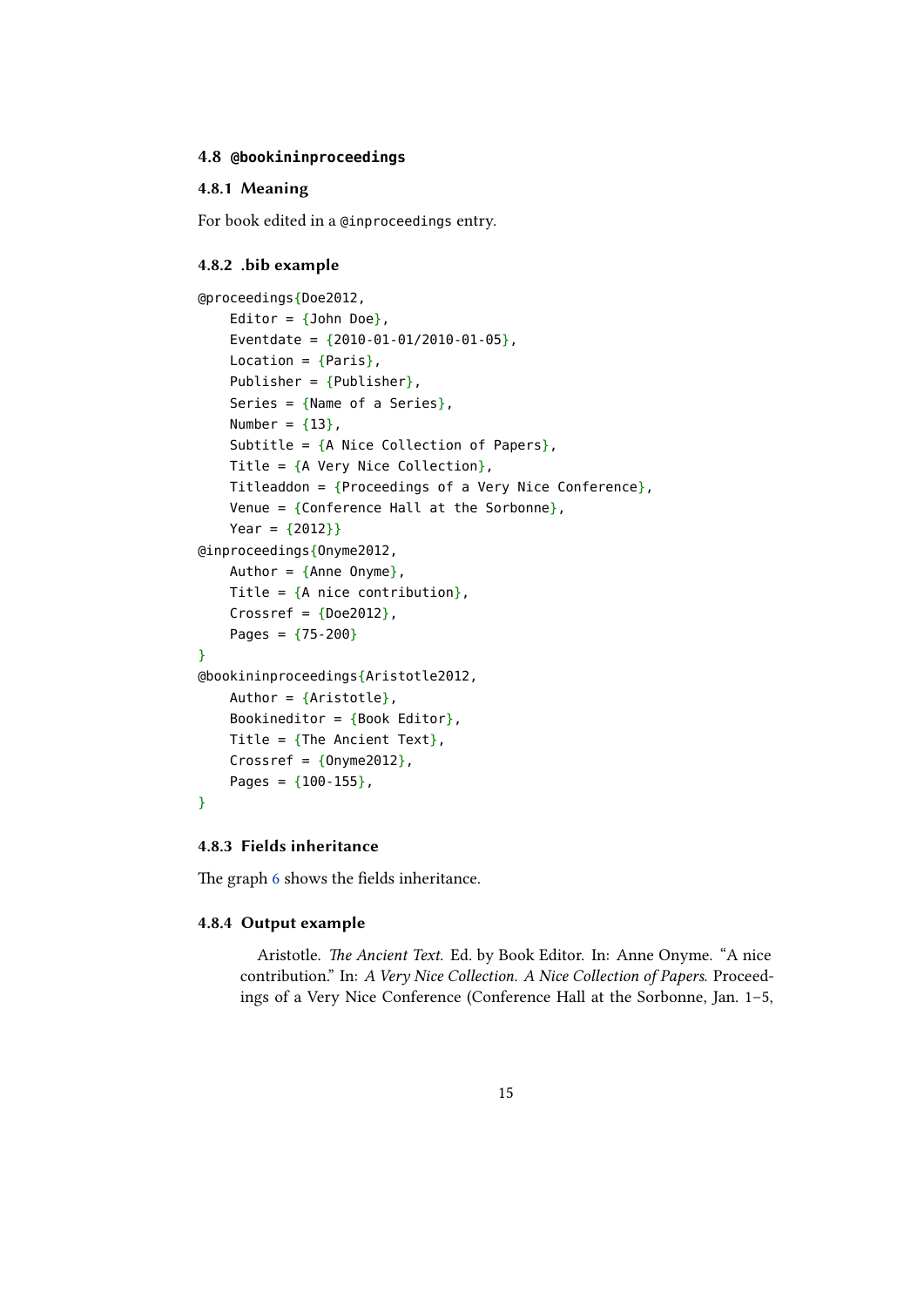#### <span id="page-14-0"></span>**4.8 @bookininproceedings**

### **4.8.1 Meaning**

For book edited in a @inproceedings entry.

#### **4.8.2 .bib example**

```
@proceedings{Doe2012,
    Editor = \{John Doe\},
    Eventdate = {2010 - 01 - 01/2010 - 01 - 05},
    Location = \{Paris\},
    Publisher = {Pubic},
    Series = {Name of a Series},
    Number = {13},
    Subtitle = {A Nice Collection of Papers},
    Title = {A \nvert A} Very Nice Collection},
    Titleaddon = {Proceedings of a Very Nice Conference},
    Venue = {Conference Hall at the Sorbonne},
    Year = {2012}}
@inproceedings{Onyme2012,
    Author = \{Anne Onyme\},
    Title = {A} nice contribution},
    Crossref = {Does2012},
    Pages = {75-200}}
@bookininproceedings{Aristotle2012,
    Author = {Aristotle},
    Bookineditor = {Book Editor},
    Title = {The Ancient Text},
    Crossref = {Onyme2012},
    Pages = {100-155},
}
```
## **4.8.3 Fields inheritance**

The graph 6 shows the fields inheritance.

#### **4.8.4 Output example**

A[ri](#page-15-0)stotle. *The Ancient Text*. Ed. by Book Editor. In: Anne Onyme. "A nice contribution." In: *A Very Nice Collection. A Nice Collection of Papers*. Proceedings of a Very Nice Conference (Conference Hall at the Sorbonne, Jan. 1–5,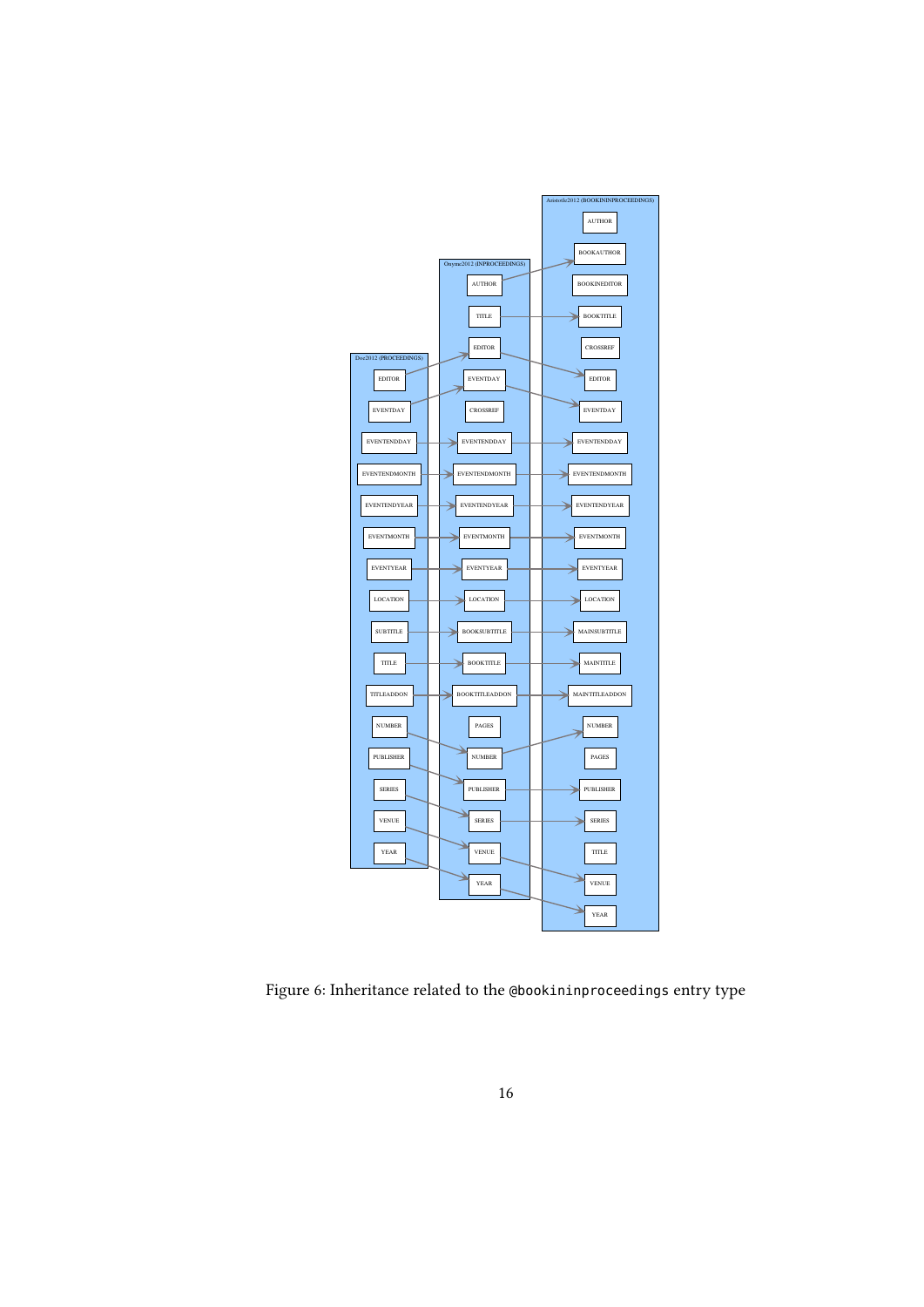<span id="page-15-0"></span>

Figure 6: Inheritance related to the @bookininproceedings entry type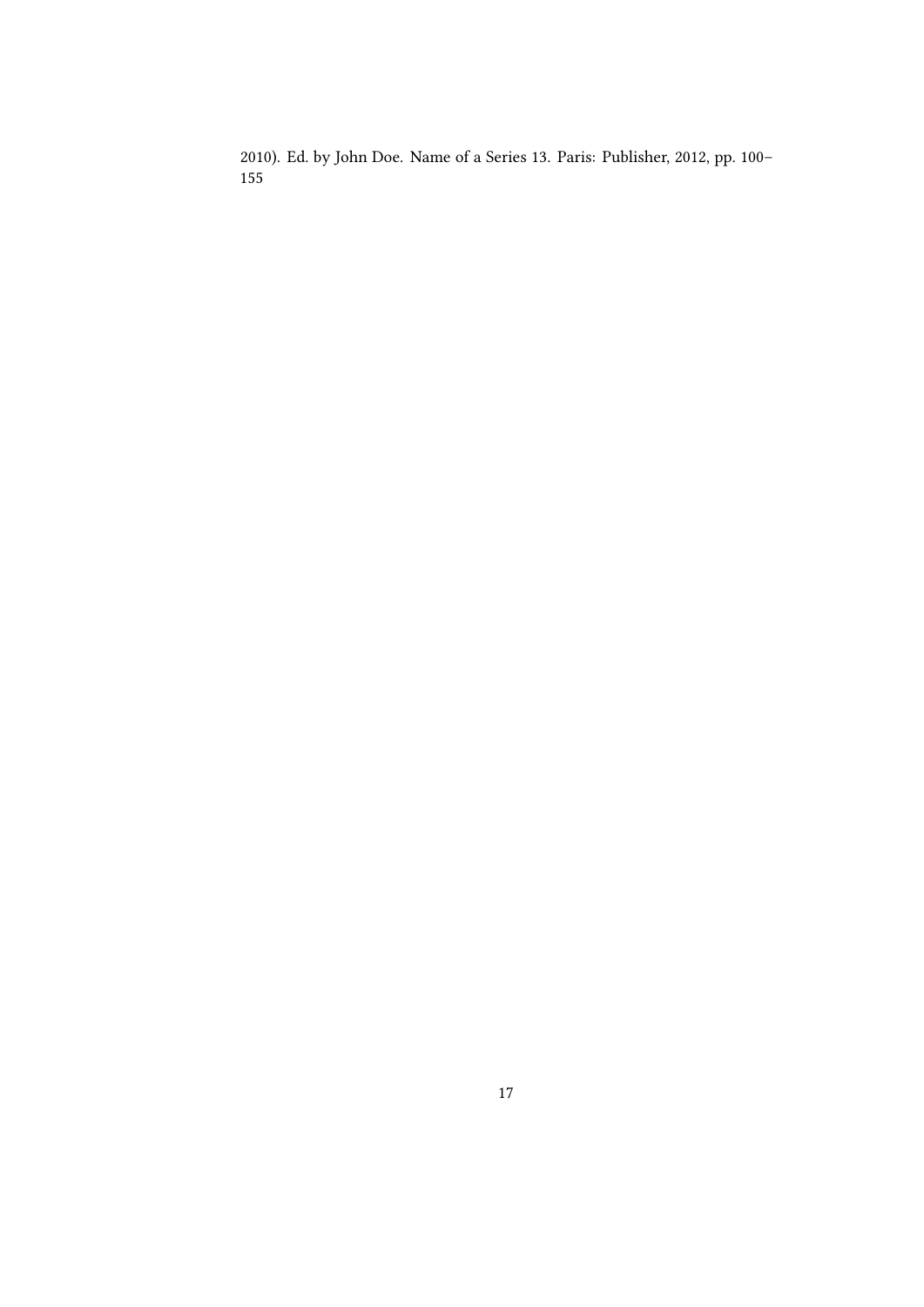2010). Ed. by John Doe. Name of a Series 13. Paris: Publisher, 2012, pp. 100–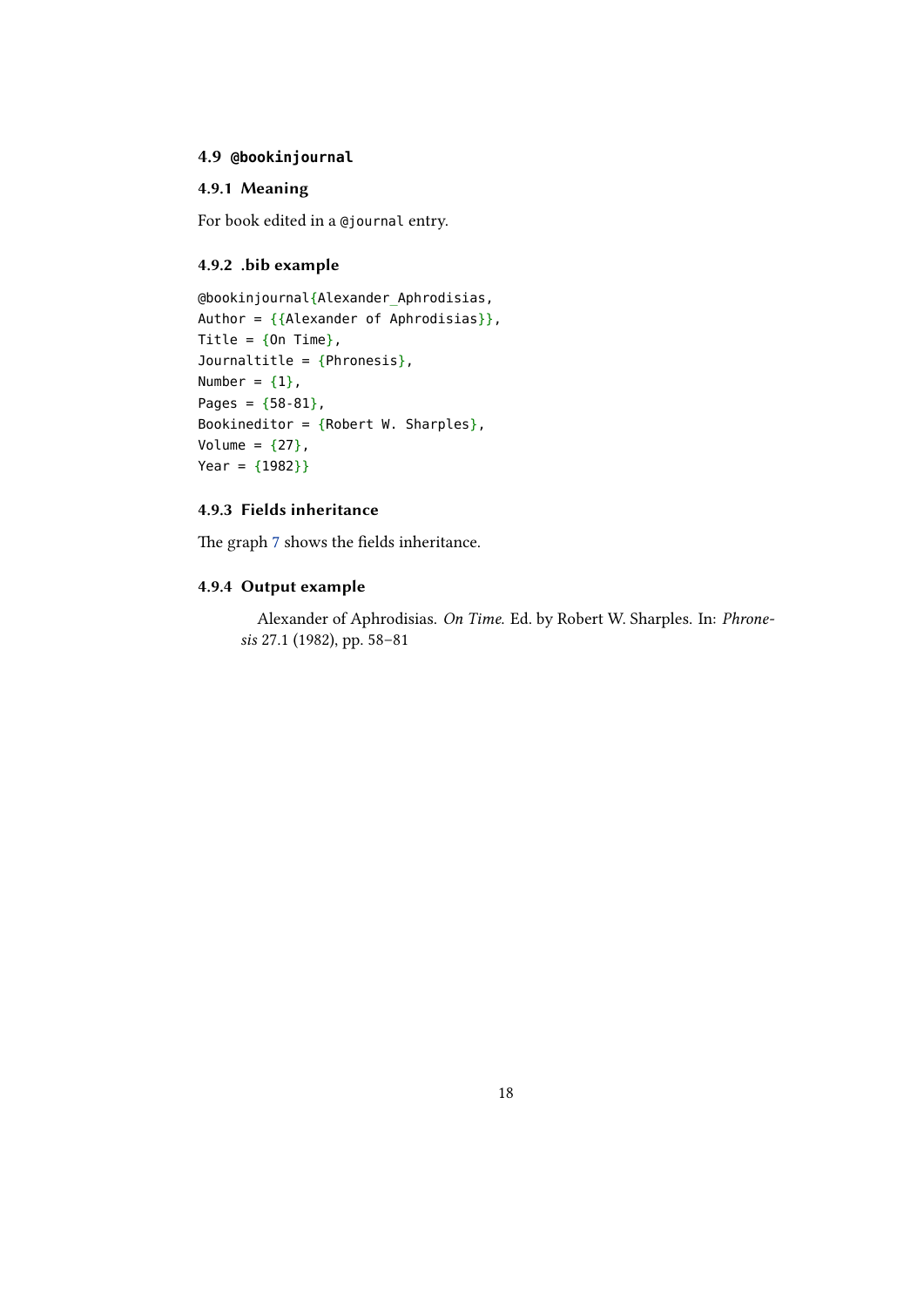## <span id="page-17-0"></span>**4.9 @bookinjournal**

### **4.9.1 Meaning**

For book edited in a @journal entry.

## **4.9.2 .bib example**

```
@bookinjournal{Alexander_Aphrodisias,
Author = \{Alexander of Aphrodisias\},
Title = {On Time},
Journaltitle = {Phronesis},
Number = {1},
Pages = {58-81},
Bookineditor = {Robert W. Sharples},
Volume = {27},
Year = {1982}}
```
## **4.9.3 Fields inheritance**

The graph 7 shows the fields inheritance.

#### **4.9.4 Output example**

A[le](#page-18-0)xander of Aphrodisias. *On Time*. Ed. by Robert W. Sharples. In: *Phronesis* 27.1 (1982), pp. 58–81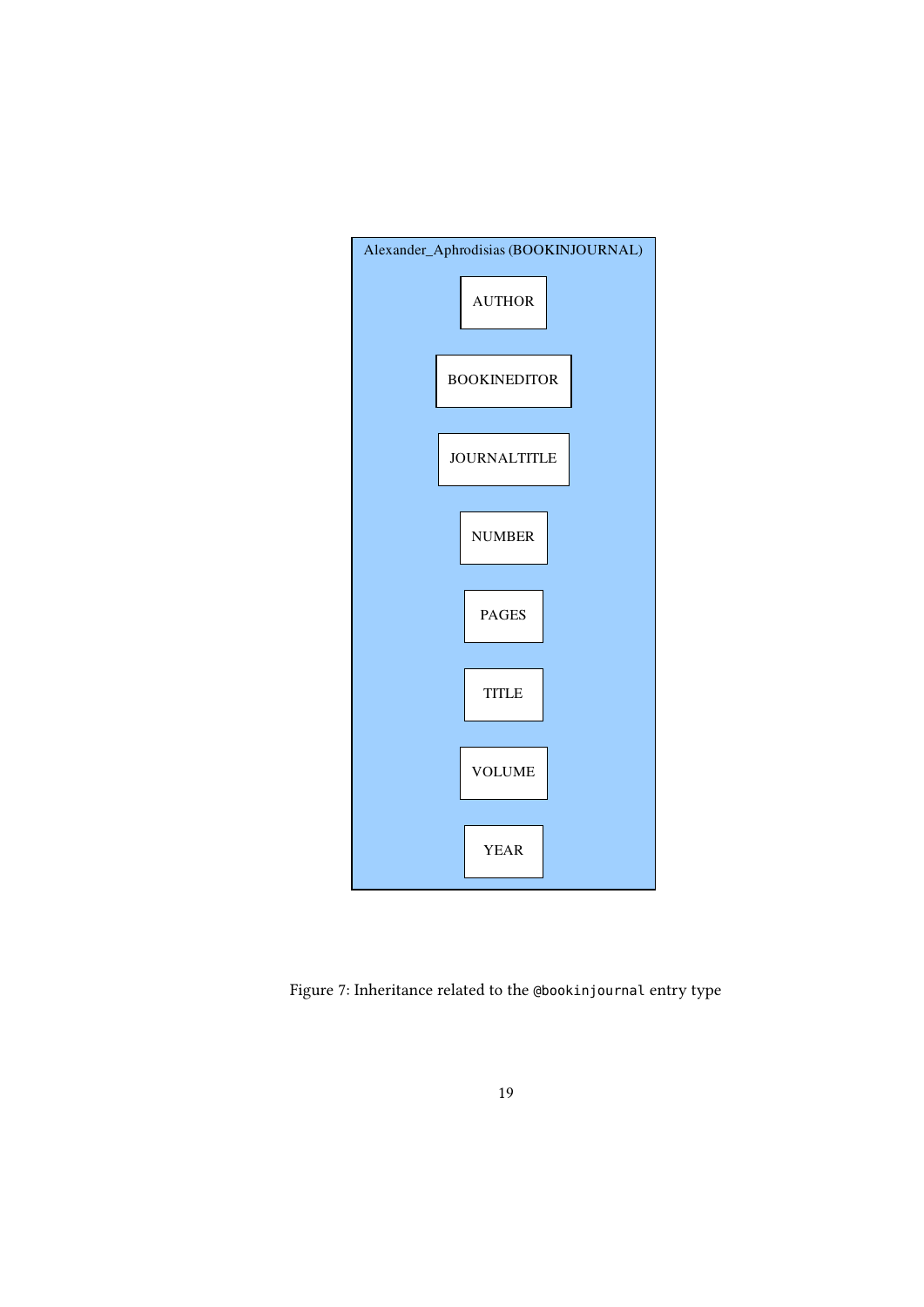<span id="page-18-0"></span>

Figure 7: Inheritance related to the @bookinjournal entry type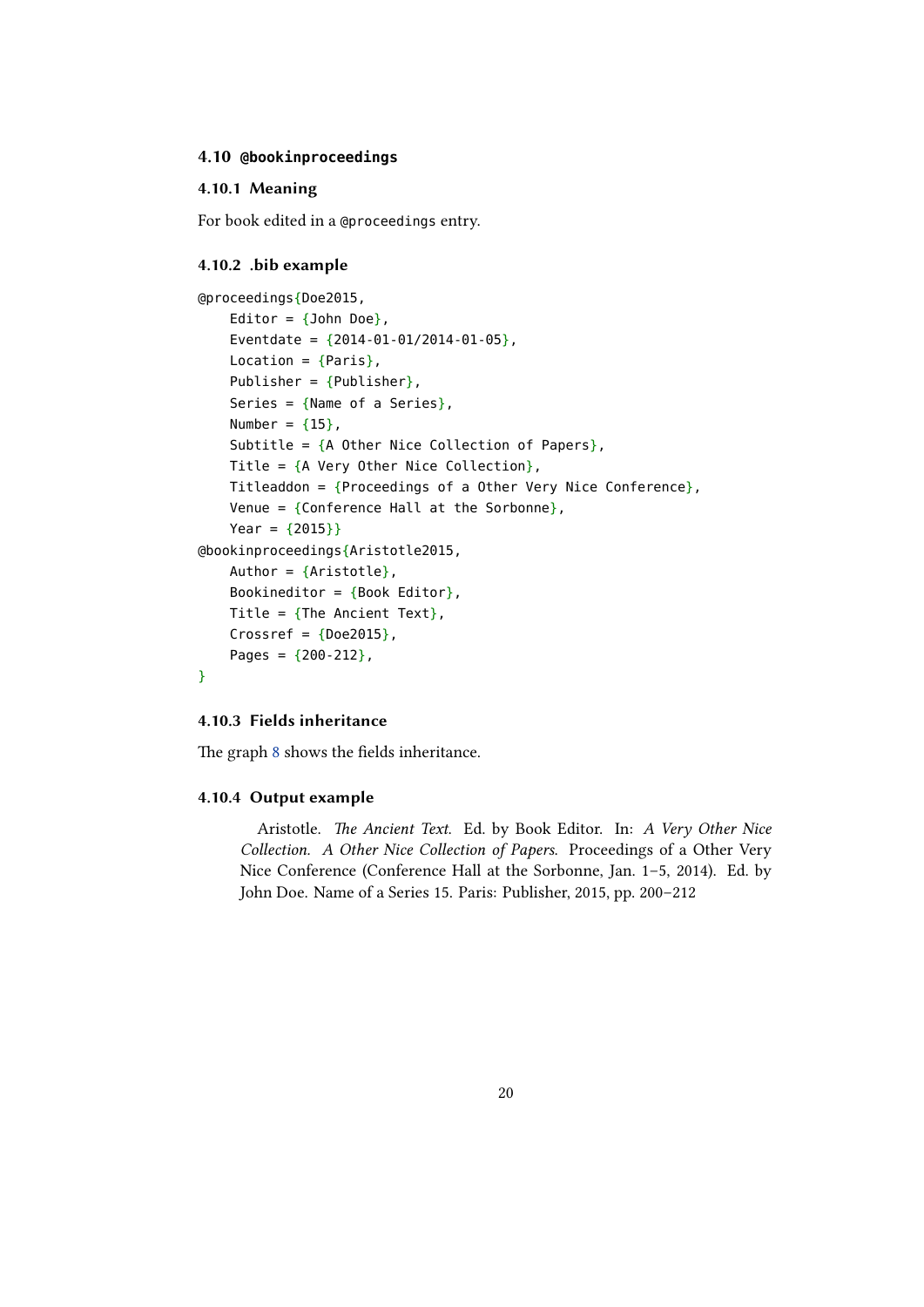#### <span id="page-19-0"></span>**4.10 @bookinproceedings**

### **4.10.1 Meaning**

For book edited in a @proceedings entry.

#### **4.10.2 .bib example**

```
@proceedings{Doe2015,
    Editor = \{John Doe\},
    Eventdate = {2014 - 01 - 01/2014 - 01 - 05},
    Location = \{Paris\},
    Publisher = {Pubic},
    Series = {Name of a Series},
    Number = {15},
    Subtitle = {A} Other Nice Collection of Papers},
    Title = {A \nvert A} Very Other Nice Collection},
    Titleaddon = {Proceedings of a Other Very Nice Conference},
    Venue = {Conference Hall at the Sorbonne},
    Year = {2015}@bookinproceedings{Aristotle2015,
    Author = {Aristottle},
    Bookineditor = {Book Editor},
    Title = {The Ancient Text},
    Crossref = {Does}Pages = {200-212},
}
```
### **4.10.3 Fields inheritance**

The graph 8 shows the fields inheritance.

#### **4.10.4 Output example**

A[ri](#page-20-0)stotle. *The Ancient Text*. Ed. by Book Editor. In: *A Very Other Nice Collection. A Other Nice Collection of Papers*. Proceedings of a Other Very Nice Conference (Conference Hall at the Sorbonne, Jan. 1–5, 2014). Ed. by John Doe. Name of a Series 15. Paris: Publisher, 2015, pp. 200–212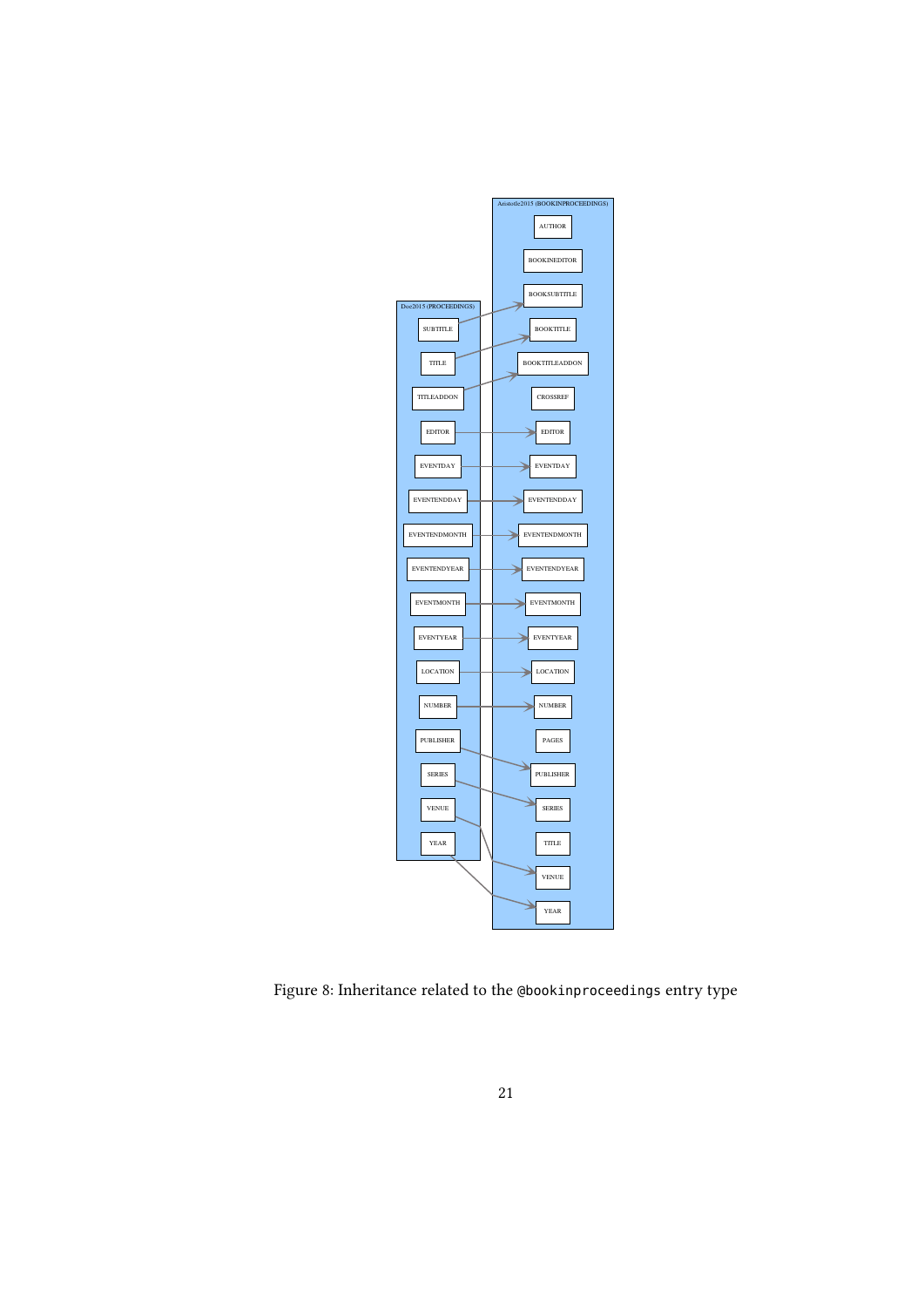<span id="page-20-0"></span>

Figure 8: Inheritance related to the @bookinproceedings entry type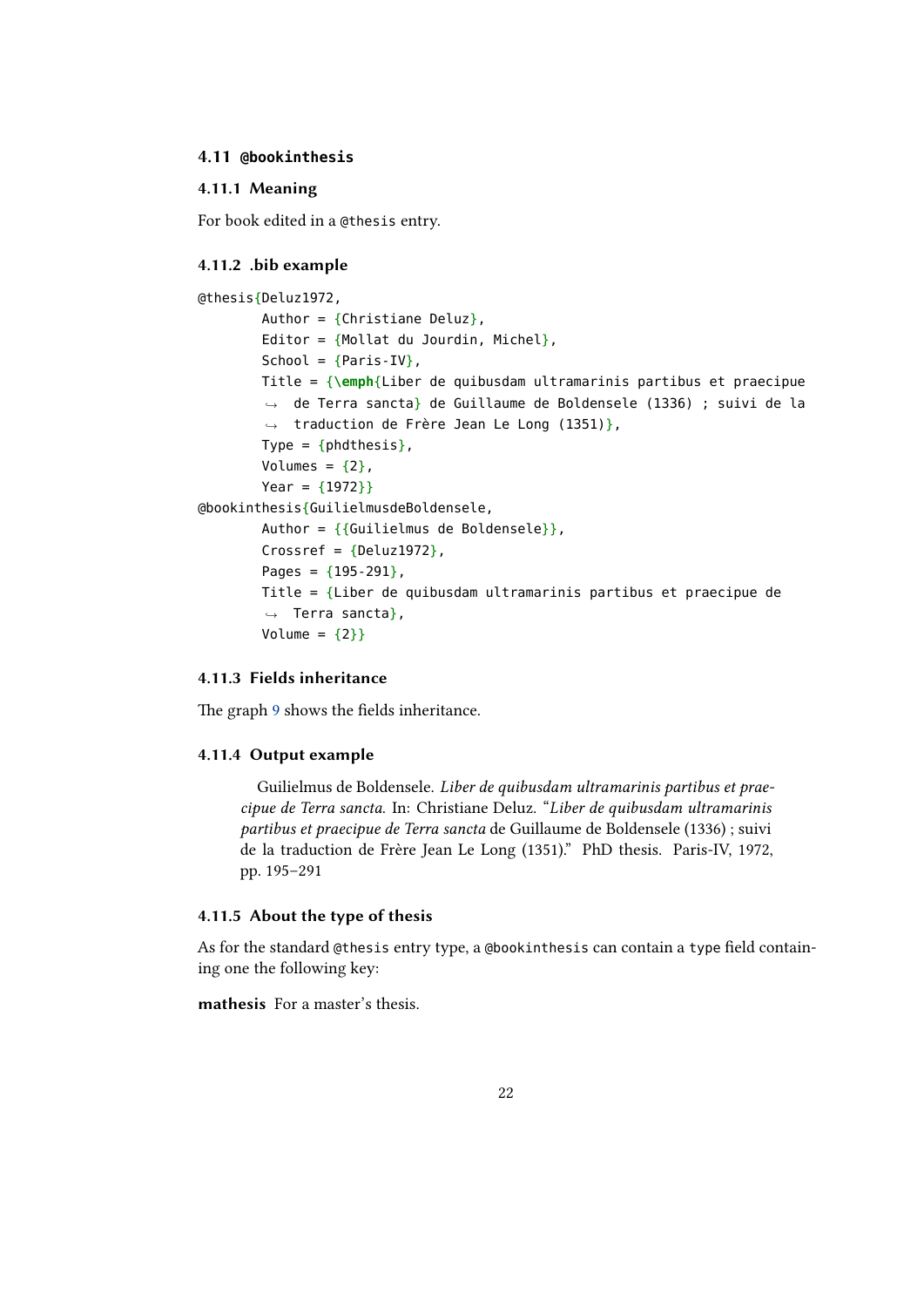#### <span id="page-21-0"></span>**4.11 @bookinthesis**

## **4.11.1 Meaning**

For book edited in a @thesis entry.

#### **4.11.2 .bib example**

```
@thesis{Deluz1972,
        Author = {Christiane Deluz},
        Editor = {Moltat du Jourdin, Michel},
        School = {Paris IV},
        Title = {\emph{Liber de quibusdam ultramarinis partibus et praecipue
         \leftrightarrow de Terra sancta} de Guillaume de Boldensele (1336) ; suivi de la
         traduction de Frère Jean Le Long (1351)},
,→
        Type = {phdthesis},
        Volumes = {2},
        Year = {1972}}
@bookinthesis{GuilielmusdeBoldensele,
        Author = {Guilelmus de Boldensele}},
        Crossref = {Deluz1972},
        Pages = {195-291},
        Title = {Liber de quibusdam ultramarinis partibus et praecipue de
        ,→ Terra sancta},
        Volume = {2}}
```
## **4.11.3 Fields inheritance**

The graph 9 shows the fields inheritance.

#### **4.11.4 Output example**

G[ui](#page-22-0)lielmus de Boldensele. *Liber de quibusdam ultramarinis partibus et praecipue de Terra sancta*. In: Christiane Deluz. "*Liber de quibusdam ultramarinis partibus et praecipue de Terra sancta* de Guillaume de Boldensele (1336) ; suivi de la traduction de Frère Jean Le Long (1351)." PhD thesis. Paris-IV, 1972, pp. 195–291

## **4.11.5 About the type of thesis**

As for the standard @thesis entry type, a @bookinthesis can contain a type field containing one the following key:

**mathesis** For a master's thesis.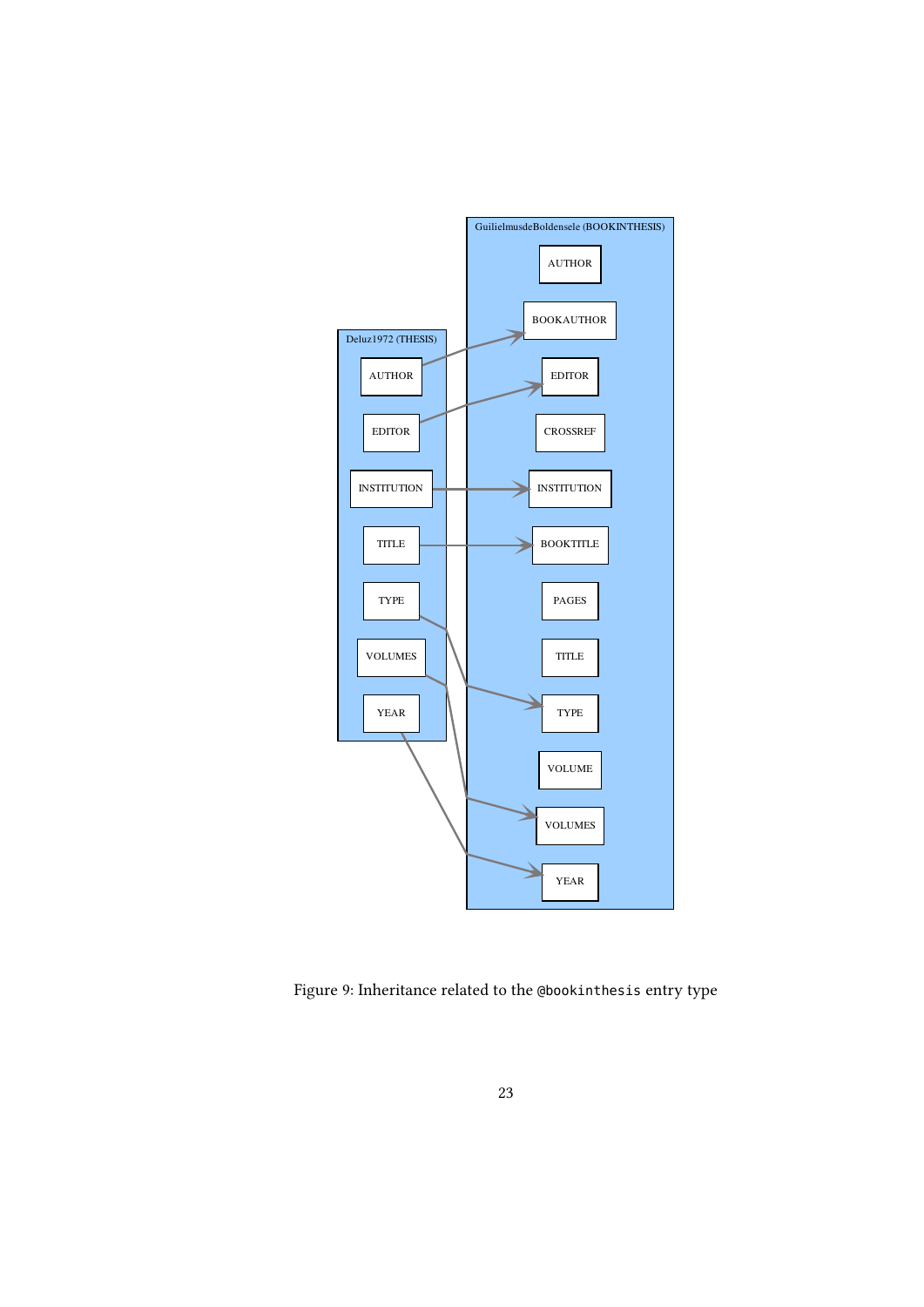<span id="page-22-0"></span>

Figure 9: Inheritance related to the @bookinthesis entry type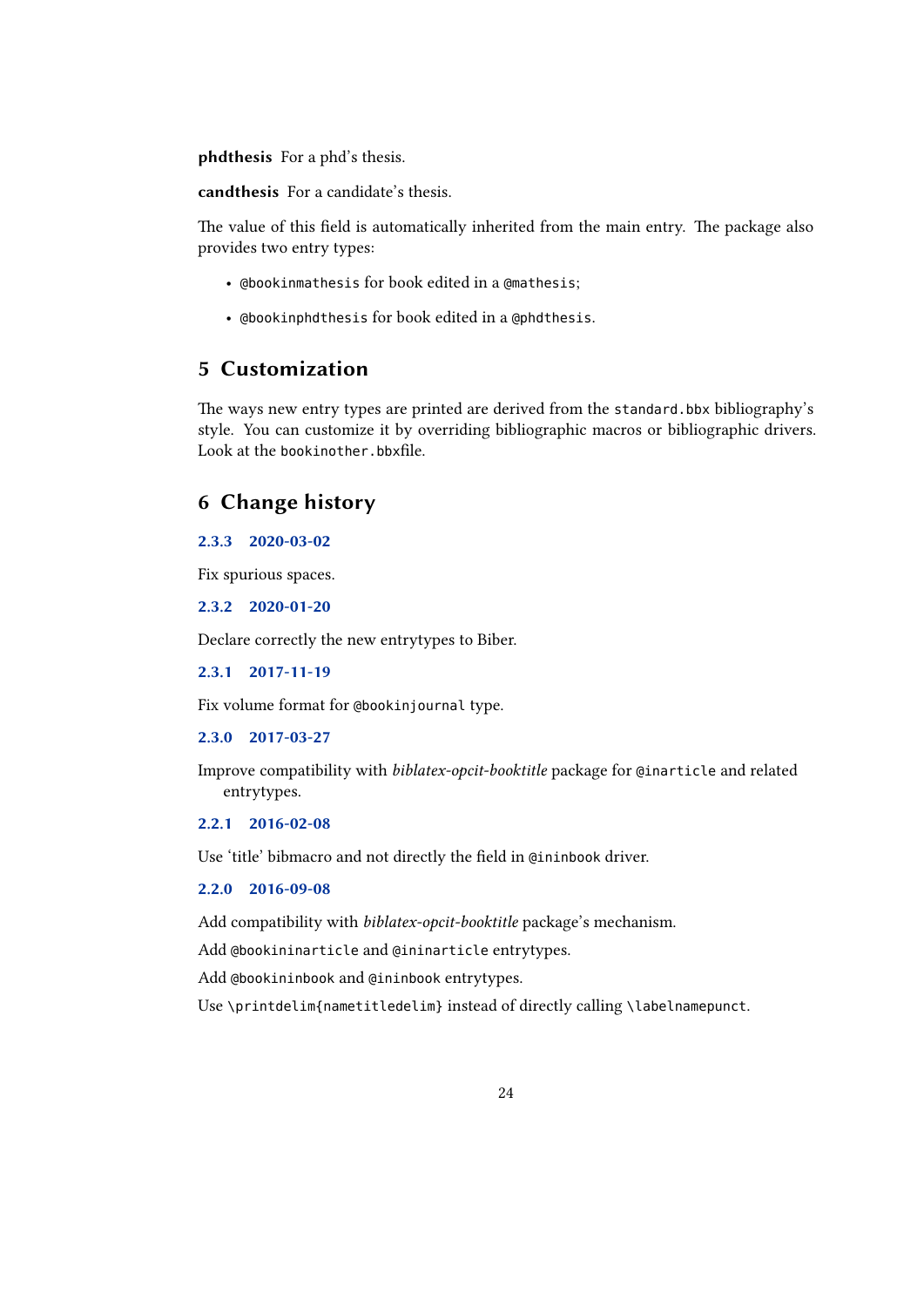**phdthesis** For a phd's thesis.

**candthesis** For a candidate's thesis.

The value of this field is automatically inherited from the main entry. The package also provides two entry types:

- @bookinmathesis for book edited in a @mathesis;
- @bookinphdthesis for book edited in a @phdthesis.

# **5 Customization**

The ways new entry types are printed are derived from the standard.bbx bibliography's style. You can customize it by overriding bibliographic macros or bibliographic drivers. Look at the bookinother.bbxfile.

# **6 Change history**

## **2.3.3 2020-03-02**

Fix spurious spaces.

**2.3.2 2020-01-20**

Declare correctly the new entrytypes to Biber.

**2.3.1 2017-11-19**

Fix volume format for @bookinjournal type.

**2.3.0 2017-03-27**

Improve compatibility with *biblatex-opcit-booktitle* package for @inarticle and related entrytypes.

## **2.2.1 2016-02-08**

Use 'title' bibmacro and not directly the field in @ininbook driver.

#### **2.2.0 2016-09-08**

Add compatibility with *biblatex-opcit-booktitle* package's mechanism.

Add @bookininarticle and @ininarticle entrytypes.

Add @bookininbook and @ininbook entrytypes.

Use \printdelim{nametitledelim} instead of directly calling \labelnamepunct.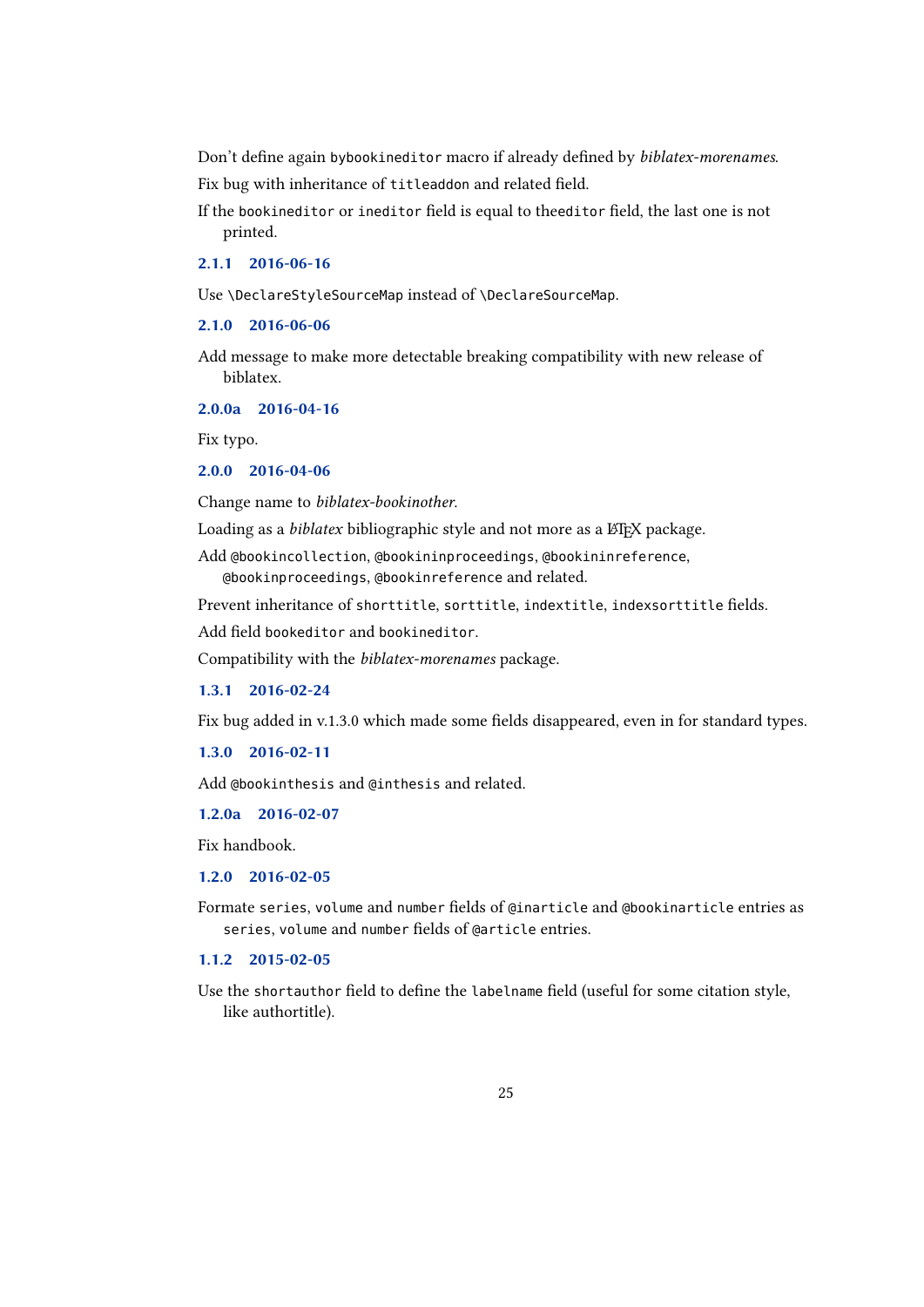Don't define again bybookineditor macro if already defined by *biblatex-morenames*. Fix bug with inheritance of titleaddon and related field.

If the bookineditor or ineditor field is equal to theeditor field, the last one is not printed.

**2.1.1 2016-06-16**

Use \DeclareStyleSourceMap instead of \DeclareSourceMap.

**2.1.0 2016-06-06**

Add message to make more detectable breaking compatibility with new release of biblatex.

**2.0.0a 2016-04-16**

Fix typo.

**2.0.0 2016-04-06**

Change name to *biblatex-bookinother*.

Loading as a *biblatex* bibliographic style and not more as a LTFX package.

Add @bookincollection, @bookininproceedings, @bookininreference, @bookinproceedings, @bookinreference and related.

Prevent inheritance of shorttitle, sorttitle, indextitle, indexsorttitle fields.

Add field bookeditor and bookineditor.

Compatibility with the *biblatex-morenames* package.

**1.3.1 2016-02-24**

Fix bug added in v.1.3.0 which made some fields disappeared, even in for standard types.

**1.3.0 2016-02-11**

Add @bookinthesis and @inthesis and related.

**1.2.0a 2016-02-07**

Fix handbook.

**1.2.0 2016-02-05**

Formate series, volume and number fields of @inarticle and @bookinarticle entries as series, volume and number fields of @article entries.

**1.1.2 2015-02-05**

Use the shortauthor field to define the labelname field (useful for some citation style, like authortitle).